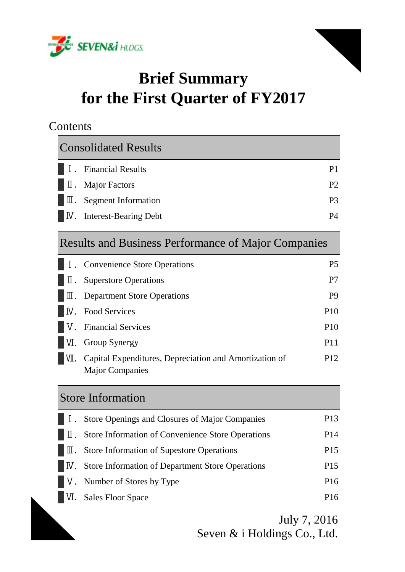



# **Brief Summary for the First Quarter of FY2017**

# **Contents**

| <b>Consolidated Results</b>                   |                |
|-----------------------------------------------|----------------|
| $\blacksquare$ I. Financial Results           | P1             |
| $\blacksquare$ $\blacksquare$ . Major Factors | P <sub>2</sub> |
| $\blacksquare$ T. Segment Information         | P <sub>3</sub> |
| <b>N.</b> Interest-Bearing Debt               | P4             |

# Results and Business Performance of Major Companies

|       | I. Convenience Store Operations                                                  | <b>P5</b>       |
|-------|----------------------------------------------------------------------------------|-----------------|
| II.   | <b>Superstore Operations</b>                                                     | P7              |
|       | $\mathbb{I}$ . Department Store Operations                                       | P <sub>9</sub>  |
|       | <b>N.</b> Food Services                                                          | P <sub>10</sub> |
|       | V. Financial Services                                                            | <b>P10</b>      |
|       | <b>VI.</b> Group Synergy                                                         | P <sub>11</sub> |
| IVII. | Capital Expenditures, Depreciation and Amortization of<br><b>Major Companies</b> | P <sub>12</sub> |

# Store Information

| <b>I.</b> Store Openings and Closures of Major Companies                                      | P <sub>13</sub> |
|-----------------------------------------------------------------------------------------------|-----------------|
| $\blacksquare$ T. Store Information of Convenience Store Operations                           | P <sub>14</sub> |
| $\blacksquare$ T. Store Information of Supestore Operations                                   | P <sub>15</sub> |
| $\blacksquare$ $\blacksquare$ $\blacksquare$ Store Information of Department Store Operations | P <sub>15</sub> |
| V. Number of Stores by Type                                                                   | P <sub>16</sub> |
| VI. Sales Floor Space                                                                         | P <sub>16</sub> |

July 7, 2016 Seven & i Holdings Co., Ltd.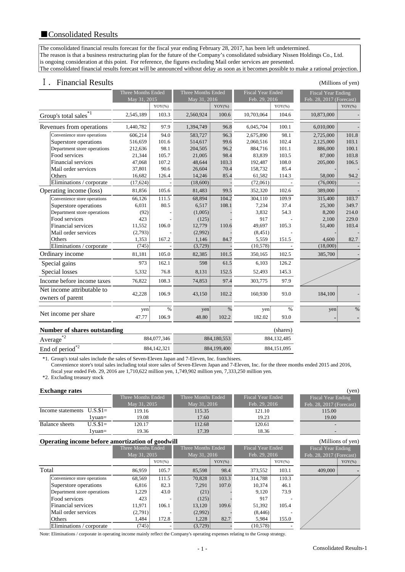The consolidated financial results forecast for the fiscal year ending February 28, 2017, has been left undetermined. The reason is that a business restructuring plan for the future of the Company's consolidated subsidiary Nissen Holdings Co., Ltd. is ongoing consideration at this point. For reference, the figures excluding Mail order services are presented. The consolidated financial results forecast will be announced without delay as soon as it becomes possible to make a rational projection.

# Ⅰ.Financial Results (Millions of yen)

|                                   |                                                | <b>Three Months Ended</b><br>May 31, 2015 |           | Three Months Ended<br>May 31, 2016 |           | <b>Fiscal Year Ended</b><br>Feb. 29, 2016 |           | <b>Fiscal Year Ending</b><br>Feb. 28, 2017 (Forecast) |           |
|-----------------------------------|------------------------------------------------|-------------------------------------------|-----------|------------------------------------|-----------|-------------------------------------------|-----------|-------------------------------------------------------|-----------|
|                                   |                                                |                                           | $YOY(\%)$ |                                    | $YOY(\%)$ |                                           | $YOY(\%)$ |                                                       | $YOY(\%)$ |
| Group's total sales <sup>*1</sup> |                                                | 2,545,189                                 | 103.3     | 2,560,924                          | 100.6     | 10,703,064                                | 104.6     | 10,873,000                                            |           |
|                                   | Revenues from operations                       | 1,440,782                                 | 97.9      | 1,394,749                          | 96.8      | 6,045,704                                 | 100.1     | 6,010,000                                             |           |
|                                   | Convenience store operations                   | 606,214                                   | 94.0      | 583,727                            | 96.3      | 2,675,890                                 | 98.1      | 2,725,000                                             | 101.8     |
|                                   | Superstore operations                          | 516,659                                   | 101.6     | 514,617                            | 99.6      | 2,060,516                                 | 102.4     | 2,125,000                                             | 103.1     |
|                                   | Department store operations                    | 212,636                                   | 98.1      | 204,505                            | 96.2      | 884,716                                   | 101.1     | 886,000                                               | 100.1     |
|                                   | Food services                                  | 21,344                                    | 105.7     | 21,005                             | 98.4      | 83,839                                    | 103.5     | 87,000                                                | 103.8     |
|                                   | <b>Financial services</b>                      | 47,068                                    | 107.2     | 48,644                             | 103.3     | 192,487                                   | 108.0     | 205,000                                               | 106.5     |
|                                   | Mail order services                            | 37,801                                    | 90.6      | 26,604                             | 70.4      | 158,732                                   | 85.4      |                                                       |           |
|                                   | Others                                         | 16,682                                    | 126.4     | 14,246                             | 85.4      | 61,582                                    | 114.3     | 58,000                                                | 94.2      |
|                                   | Eliminations / corporate                       | (17,624)                                  |           | (18,600)                           |           | (72,061)                                  |           | (76,000)                                              |           |
|                                   | Operating income (loss)                        | 81,856                                    | 105.6     | 81,483                             | 99.5      | 352,320                                   | 102.6     | 389,000                                               |           |
|                                   | Convenience store operations                   | 66,126                                    | 111.5     | 68,894                             | 104.2     | 304,110                                   | 109.9     | 315,400                                               | 103.7     |
|                                   | Superstore operations                          | 6,031                                     | 80.5      | 6,517                              | 108.1     | 7,234                                     | 37.4      | 25,300                                                | 349.7     |
|                                   | Department store operations                    | (92)                                      |           | (1,005)                            |           | 3,832                                     | 54.3      | 8,200                                                 | 214.0     |
|                                   | Food services                                  | 423                                       |           | (125)                              |           | 917                                       |           | 2,100                                                 | 229.0     |
|                                   | <b>Financial services</b>                      | 11,552                                    | 106.0     | 12,779                             | 110.6     | 49,697                                    | 105.3     | 51,400                                                | 103.4     |
|                                   | Mail order services                            | (2,793)                                   |           | (2,992)                            |           | (8,451)                                   |           |                                                       |           |
|                                   | Others                                         | 1,353                                     | 167.2     | 1,146                              | 84.7      | 5,559                                     | 151.5     | 4,600                                                 | 82.7      |
|                                   | Eliminations / corporate                       | (745)                                     |           | (3,729)                            |           | (10,578)                                  |           | (18,000)                                              |           |
|                                   | Ordinary income                                | 81,181                                    | 105.0     | 82,385                             | 101.5     | 350,165                                   | 102.5     | 385,700                                               |           |
|                                   | Special gains                                  | $973 \pm$                                 | 162.1     | 598                                | 61.5      | 6,103                                     | 126.2     |                                                       |           |
|                                   | Special losses                                 | 5,332                                     | 76.8      | 8,131                              | 152.5     | 52,493                                    | 145.3     |                                                       |           |
|                                   | Income before income taxes                     | 76,822                                    | 108.3     | 74,853                             | 97.4      | 303,775                                   | 97.9      |                                                       |           |
|                                   | Net income attributable to<br>owners of parent | 42,228                                    | 106.9     | 43,150                             | 102.2     | 160,930                                   | 93.0      | 184,100                                               |           |
|                                   |                                                | yen                                       | $\%$      | yen                                | $\%$      | yen                                       | $\%$      | yen                                                   | $\%$      |
|                                   | Net income per share                           | 47.77                                     | 106.9     | 48.80                              | 102.2     | 182.02                                    | 93.0      |                                                       |           |
|                                   | <b>Number of shares outstanding</b>            |                                           |           |                                    |           |                                           | (shares)  |                                                       |           |

| <b>NUMBER OF SHAFTS OF STATISTIC STATE</b> |             |               | (s <sub>Ha</sub> es) |
|--------------------------------------------|-------------|---------------|----------------------|
| Average                                    | 884,077,346 | 884, 180, 553 | 884.132.485          |
| End of period $^{*2}$                      | 884.142.321 | 884,199,400   | 884.151.095          |

\*1. Group's total sales include the sales of Seven-Eleven Japan and 7-Eleven, Inc. franchisees.

Convenience store's total sales including total store sales of Seven-Eleven Japan and 7-Eleven, Inc. for the three months ended 2015 and 2016,

fiscal year ended Feb. 29, 2016 are 1,710,622 million yen, 1,749,902 million yen, 7,333,250 million yen.

\*2. Excluding treasury stock

#### **Exchange rates** (yen)

| $\overline{\phantom{a}}$    |           |                    |                    |                   |                          |
|-----------------------------|-----------|--------------------|--------------------|-------------------|--------------------------|
|                             |           | Three Months Ended | Three Months Ended | Fiscal Year Ended | Fiscal Year Ending       |
|                             |           | May 31, 2015       | May 31, 2016       | Feb. 29, 2016     | Feb. 28, 2017 (Forecast) |
| Income statements $U.S.S1=$ |           | 119.16             | 115.35             | 121.10            | 115.00                   |
|                             | l vuan=   | 19.08              | 17.60              | 19.23             | 19.00                    |
| Balance sheets              | $U.S.S1=$ | 120.17             | 112.68             | 120.61            | $\overline{\phantom{0}}$ |
|                             | l yuan=   | 19.36              | 17.39              | 18.36             | $\overline{\phantom{0}}$ |

#### **Operating income before amortization of goodwill** (Millions of yen) (Millions of yen)

|                              | Three Months Ended |           | Three Months Ended |           | <b>Fiscal Year Ended</b> |           | Fiscal Year Ending         |  |
|------------------------------|--------------------|-----------|--------------------|-----------|--------------------------|-----------|----------------------------|--|
|                              | May 31, 2015       |           | May 31, 2016       |           | Feb. 29, 2016            |           | Feb. $28, 2017$ (Forecast) |  |
|                              |                    | $YOY(\%)$ |                    | $YOY(\%)$ |                          | $YOY(\%)$ | $YOY(\%)$                  |  |
| Total                        | 86.959             | 105.7     | 85,598             | 98.4      | 373,552                  | 103.1     | 409,000                    |  |
| Convenience store operations | 68,569             | 111.5     | 70,828             | 103.3     | 314.788                  | 110.3     |                            |  |
| Superstore operations        | 6,816              | 82.3      | 7.291              | 107.0     | 10,374                   | 46.1      |                            |  |
| Department store operations  | 1,229              | 43.0      | (21)               |           | 9,120                    | 73.9      |                            |  |
| Food services                | 423                |           | (125)              |           | 917                      |           |                            |  |
| Financial services           | 11.971             | 106.1     | 13,120             | 109.6     | 51,392                   | 105.4     |                            |  |
| Mail order services          | (2,791)            |           | (2,992)            |           | (8,446)                  |           |                            |  |
| Others                       | 1,484              | 172.8     | 1,228              | 82.7      | 5,984                    | 155.0     |                            |  |
| Eliminations / corporate     | (745)              |           | (3,729)            |           | (10,578)                 |           |                            |  |

| $110$ car Tear Ending   |
|-------------------------|
| eb. 28, 2017 (Forecast) |
| 115.00                  |
| 19.00                   |
|                         |
|                         |
| (Millions of yen)       |

| <b>Fiscal Year Ending</b> |           |
|---------------------------|-----------|
| Feb. 28, 2017 (Forecast)  |           |
|                           | $YOY(\%)$ |
| 409,000                   |           |
|                           |           |
|                           |           |
|                           |           |
|                           |           |
|                           |           |
|                           |           |
|                           |           |
|                           |           |

Note: Eliminations / corporate in operating income mainly reflect the Company's operating expenses relating to the Group strategy.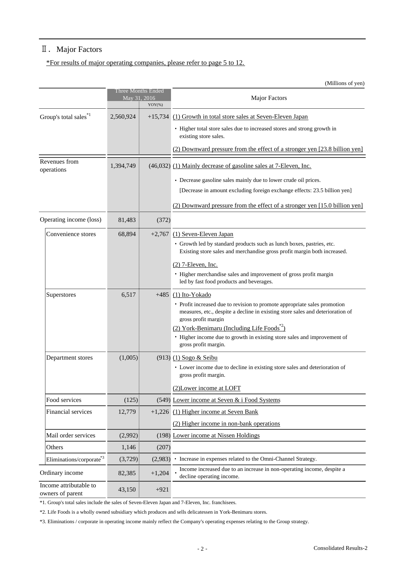# Ⅱ.Major Factors

\*For results of major operating companies, please refer to page 5 to 12.

(Millions of yen)

|                                            |           | Three Months Ended<br>May 31, 2016<br>$YOY(\%)$ | <b>Major Factors</b>                                                                                                                                                                                                                                                                                                                        |
|--------------------------------------------|-----------|-------------------------------------------------|---------------------------------------------------------------------------------------------------------------------------------------------------------------------------------------------------------------------------------------------------------------------------------------------------------------------------------------------|
| Group's total sales <sup>*1</sup>          | 2,560,924 | $+15,734$                                       | (1) Growth in total store sales at Seven-Eleven Japan                                                                                                                                                                                                                                                                                       |
|                                            |           |                                                 | • Higher total store sales due to increased stores and strong growth in<br>existing store sales.                                                                                                                                                                                                                                            |
|                                            |           |                                                 | (2) Downward pressure from the effect of a stronger yen [23.8 billion yen]                                                                                                                                                                                                                                                                  |
| Revenues from<br>operations                | 1,394,749 |                                                 | (46,032) (1) Mainly decrease of gasoline sales at 7-Eleven, Inc.                                                                                                                                                                                                                                                                            |
|                                            |           |                                                 | • Decrease gasoline sales mainly due to lower crude oil prices.                                                                                                                                                                                                                                                                             |
|                                            |           |                                                 | [Decrease in amount excluding foreign exchange effects: 23.5 billion yen]                                                                                                                                                                                                                                                                   |
|                                            |           |                                                 | (2) Downward pressure from the effect of a stronger yen [15.0 billion yen]                                                                                                                                                                                                                                                                  |
| Operating income (loss)                    | 81,483    | (372)                                           |                                                                                                                                                                                                                                                                                                                                             |
| Convenience stores                         | 68,894    |                                                 | $+2,767$ (1) Seven-Eleven Japan                                                                                                                                                                                                                                                                                                             |
|                                            |           |                                                 | · Growth led by standard products such as lunch boxes, pastries, etc.<br>Existing store sales and merchandise gross profit margin both increased.                                                                                                                                                                                           |
|                                            |           |                                                 | $(2)$ 7-Eleven, Inc.                                                                                                                                                                                                                                                                                                                        |
|                                            |           |                                                 | • Higher merchandise sales and improvement of gross profit margin<br>led by fast food products and beverages.                                                                                                                                                                                                                               |
| Superstores                                | 6,517     | $+485$                                          | (1) Ito-Yokado<br>• Profit increased due to revision to promote appropriate sales promotion<br>measures, etc., despite a decline in existing store sales and deterioration of<br>gross profit margin<br>(2) York-Benimaru (Including Life Foods <sup>*2</sup> )<br>• Higher income due to growth in existing store sales and improvement of |
|                                            |           |                                                 | gross profit margin.                                                                                                                                                                                                                                                                                                                        |
| Department stores                          | (1,005)   |                                                 | $(913)$ $(1)$ Sogo & Seibu<br>• Lower income due to decline in existing store sales and deterioration of<br>gross profit margin.                                                                                                                                                                                                            |
|                                            |           |                                                 | (2) Lower income at LOFT                                                                                                                                                                                                                                                                                                                    |
| Food services                              | (125)     |                                                 | (549) Lower income at Seven & i Food Systems                                                                                                                                                                                                                                                                                                |
| <b>Financial services</b>                  | 12,779    |                                                 | $+1,226$ (1) Higher income at Seven Bank                                                                                                                                                                                                                                                                                                    |
|                                            |           |                                                 | (2) Higher income in non-bank operations                                                                                                                                                                                                                                                                                                    |
| Mail order services                        | (2,992)   |                                                 | (198) Lower income at Nissen Holdings                                                                                                                                                                                                                                                                                                       |
| Others                                     | 1,146     | (207)                                           |                                                                                                                                                                                                                                                                                                                                             |
| Eliminations/corporate*3                   | (3,729)   | (2,983)                                         | • Increase in expenses related to the Omni-Channel Strategy.                                                                                                                                                                                                                                                                                |
| Ordinary income                            | 82,385    | $+1,204$                                        | Income increased due to an increase in non-operating income, despite a<br>decline operating income.                                                                                                                                                                                                                                         |
| Income attributable to<br>owners of parent | 43,150    | $+921$                                          |                                                                                                                                                                                                                                                                                                                                             |

\*1. Group's total sales include the sales of Seven-Eleven Japan and 7-Eleven, Inc. franchisees.

\*2. Life Foods is a wholly owned subsidiary which produces and sells delicatessen in York-Benimaru stores.

\*3. Eliminations / corporate in operating income mainly reflect the Company's operating expenses relating to the Group strategy.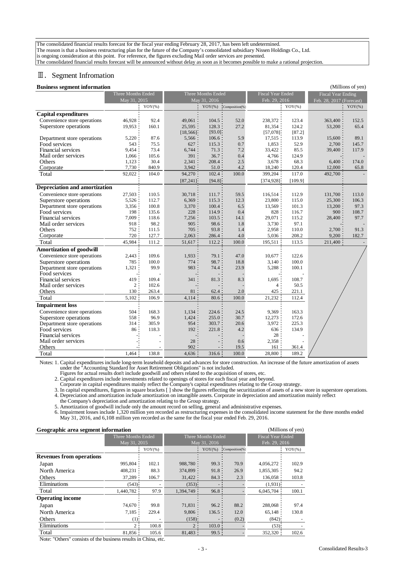The consolidated financial results forecast for the fiscal year ending February 28, 2017, has been left undetermined. The reason is that a business restructuring plan for the future of the Company's consolidated subsidiary Nissen Holdings Co., Ltd. is ongoing consideration at this point. For reference, the figures excluding Mail order services are presented. The consolidated financial results forecast will be announced without delay as soon as it becomes possible to make a rational projection.

# Ⅲ.Segment Infromation

#### **Business segment information** (Millions of yen)

| в азнкээ эсдикит нногитатон          |                    |           |                    |              |                          |                          |           |                           | $\mu$ and $\mu$ or $\mu$ on $\mu$ |
|--------------------------------------|--------------------|-----------|--------------------|--------------|--------------------------|--------------------------|-----------|---------------------------|-----------------------------------|
|                                      | Three Months Ended |           | Three Months Ended |              |                          | <b>Fiscal Year Ended</b> |           | <b>Fiscal Year Ending</b> |                                   |
|                                      | May 31, 2015       |           |                    | May 31, 2016 |                          | Feb. 29, 2016            |           | Feb. 28, 2017 (Forecast)  |                                   |
|                                      |                    | $YOY(\%)$ |                    |              | $YOY(\%)$ Composition(%) |                          | $YOY$ (%) |                           | $YOY(\%)$                         |
| <b>Capital expenditures</b>          |                    |           |                    |              |                          |                          |           |                           |                                   |
| Convenience store operations         | 46.928             | 92.4      | 49,061             | 104.5        | 52.0                     | 238,372                  | 123.4     | 363,400                   | 152.5                             |
| Superstore operations                | 19,953             | 160.1     | 25,595             | 128.3        | 27.2                     | 81,354                   | 124.2     | 53,200                    | 65.4                              |
|                                      |                    |           | [18, 566]          | [93.0]       |                          | [57,078]                 | [87.2]    |                           |                                   |
| Department store operations          | 5,220              | 87.6      | 5,566              | 106.6        | 5.9                      | 17,515                   | 113.9     | 15,600                    | 89.1                              |
| Food services                        | 543                | 75.5      | 627                | 115.3        | 0.7                      | 1,853                    | 52.9      | 2,700                     | 145.7                             |
| Financial services                   | 9,454              | 73.4      | 6,744              | 71.3         | 7.2                      | 33,422                   | 85.5      | 39,400                    | 117.9                             |
| Mail order services                  | 1,066              | 105.6     | 391                | 36.7         | 0.4                      | 4,766                    | 124.9     |                           |                                   |
| Others                               | 1,123              | 30.4      | 2,341              | 208.4        | 2.5                      | 3,678                    | 68.3      | 6,400                     | 174.0                             |
| Corporate                            | 7,730              | 840.9     | 3,942              | 51.0         | 4.2                      | 18,240                   | 120.4     | 12,000                    | 65.8                              |
| Total                                | 92,022             | 104.0     | 94,270             | 102.4        | 100.0                    | 399,204                  | 117.0     | 492,700                   |                                   |
|                                      |                    |           | [87, 241]          | [94.8]       |                          | [374, 928]               | [109.9]   |                           |                                   |
| <b>Depreciation and amortization</b> |                    |           |                    |              |                          |                          |           |                           |                                   |
| Convenience store operations         | 27,503             | 110.5     | 30,718             | 111.7        | 59.5                     | 116,514                  | 112.9     | 131,700                   | 113.0                             |
| Superstore operations                | 5,526              | 112.7     | 6,369              | 115.3        | 12.3                     | 23,800                   | 115.0     | 25,300                    | 106.3                             |
| Department store operations          | 3,356              | 100.8     | 3,370              | 100.4        | 6.5                      | 13,569                   | 101.3     | 13,200                    | 97.3                              |
| Food services                        | 198                | 135.6     | 228                | 114.9        | 0.4                      | 828                      | 116.7     | 900                       | 108.7                             |
| <b>Financial services</b>            | 7,009              | 118.6     | 7,256              | 103.5        | 14.1                     | 29,071                   | 115.2     | 28,400                    | 97.7                              |
| Mail order services                  | 918                | 98.2      | 905                | 98.6         | 1.8                      | 3,730                    | 97.1      |                           |                                   |
| Others                               | 752                | 111.5     | 705                | 93.8         | 1.4                      | 2,958                    | 110.0     | 2,700                     | 91.3                              |
| Corporate                            | 720                | 127.7     | 2,063              | 286.4        | $4.0\,$                  | 5,036                    | 208.2     | 9,200                     | 182.7                             |
| Total                                | 45,984             | 111.2     | $51,617$ :         | 112.2        | 100.0                    | 195,511                  | 113.5     | $211,400$ :               |                                   |
| <b>Amortization of goodwill</b>      |                    |           |                    |              |                          |                          |           |                           |                                   |
| Convenience store operations         | 2,443              | 109.6     | 1,933              | 79.1         | 47.0                     | 10,677                   | 122.6     |                           |                                   |
| Superstore operations                | 785                | 100.0     | 774                | 98.7         | 18.8                     | 3,140                    | 100.0     |                           |                                   |
| Department store operations          | 1,321              | 99.9      | 983                | 74.4         | 23.9                     | 5,288                    | 100.1     |                           |                                   |
| Food services                        |                    |           |                    |              |                          |                          |           |                           |                                   |
| Financial services                   | 419                | 109.4     | 341                | 81.3         | 8.3                      | 1,695                    | 108.7     |                           |                                   |
| Mail order services                  | $\overline{c}$     | 102.6     |                    |              |                          | 4                        | 50.5      |                           |                                   |
| Others                               | 130                | 263.4     | 81                 | 62.4         | 2.0                      | 425                      | 221.1     |                           |                                   |
| Total                                | 5,102              | 106.9     | $4,114$ :          | 80.6         | 100.0                    | 21,232                   | 112.4     |                           |                                   |
| <b>Impairment</b> loss               |                    |           |                    |              |                          |                          |           |                           |                                   |
| Convenience store operations         | 504                | 168.3     | 1,134              | 224.6        | 24.5                     | 9,369                    | 163.3     |                           |                                   |
| Superstore operations                | 558                | 96.9      | 1,424              | 255.0        | 30.7                     | 12,273                   | 172.6     |                           |                                   |
| Department store operations          | 314                | 305.9     | 954                | 303.7        | 20.6                     | 3,972                    | 225.3     |                           |                                   |
| Food services                        | 86 <sup>1</sup>    | 118.3     | 192:               | 221.8        | 4.2                      | 636                      | 134.9     |                           |                                   |
| Financial services                   |                    |           |                    |              |                          | 28                       |           |                           |                                   |
| Mail order services                  |                    |           | 28                 |              | 0.6                      | 2,358                    |           |                           |                                   |
| Others                               |                    |           | 902                |              | 19.5                     | 161                      | 361.4     |                           |                                   |
| Total                                | 1.464              | 138.8     | 4,636              | 316.6        | 100.0                    | 28,800                   | 189.2     |                           |                                   |

Notes: 1. Capital expenditures include long-term leasehold deposits and advances for store construction. An increase of the future amortization of assets Notes: 1. under the "Accounting Standard for Asset Retirement Obligations" is not included.

Figures for actual results don't include goodwill and others related to the acquisition of stores, etc.

2. Capital expenditures include investments related to openings of stores for each fiscal year and beyond.

Corporate in capital expenditures mainly reflect the Company's capital expenditures relating to the Group strategy.

3. In capital expenditures, figures in square brackets [] show the figures reflecting the securitization of assets of a new store in superstore operations. 4. Depreciation and amortization include amortization on intangible assets. Corporate in depreciation and amortization mainly reflect

the Company's depreciation and amortization relating to the Group strategy.

5. Amortization of goodwill include only the amount record on selling, general and administrative expenses.

Notes: 6. Impairment losses include 1,320 million yen recorded as restructuring expenses in the consolidated income statement for the three months ended May 31, 2016, and 6,108 million yen recorded as the same for the fiscal year ended Feb. 29, 2016.

| (Millions of yen)<br>Geographic area segment information |                    |           |            |                    |                          |           |           |  |  |  |
|----------------------------------------------------------|--------------------|-----------|------------|--------------------|--------------------------|-----------|-----------|--|--|--|
|                                                          | Three Months Ended |           |            | Three Months Ended | <b>Fiscal Year Ended</b> |           |           |  |  |  |
|                                                          | May 31, 2015       |           |            | May 31, 2016       | Feb. 29, 2016            |           |           |  |  |  |
|                                                          |                    | $YOY(\%)$ |            | $YOY(\%)$          | Composition(%)           |           | $YOY$ (%) |  |  |  |
| <b>Revenues from operations</b>                          |                    |           |            |                    |                          |           |           |  |  |  |
| Japan                                                    | 995,804            | 102.1     | 988,780    | 99.3:              | 70.9                     | 4,056,272 | 102.9     |  |  |  |
| North America                                            | 408,231            | 88.3      | 374,899    | 91.8               | 26.9                     | 1,855,305 | 94.2      |  |  |  |
| Others                                                   | 37,289             | 106.7     | 31,422     | 84.3               | 2.3                      | 136,058   | 103.8     |  |  |  |
| Eliminations                                             | (543)              |           | (353)      |                    |                          | (1,931)   |           |  |  |  |
| Total                                                    | 1,440,782          | 97.9      | 1,394,749  | 96.8:              |                          | 6,045,704 | 100.1     |  |  |  |
| <b>Operating income</b>                                  |                    |           |            |                    |                          |           |           |  |  |  |
| Japan                                                    | 74.670             | 99.8      | $71,831$ : | 96.2:              | 88.2                     | 288,068   | 97.4      |  |  |  |
| North America                                            | 7,185              | 229.4     | 9,806      | 136.5              | 12.0                     | 65.148    | 130.8     |  |  |  |
| Others                                                   | $(1)$ :            |           | $(158)$ :  |                    | (0.2)                    | $(842)$ : |           |  |  |  |
| Eliminations                                             | 2                  | 100.8     | 2:         | $103.0$ :          |                          | $(53)$ :  |           |  |  |  |
| Total                                                    | 81,856             | 105.6     | 81,483     | 99.5:              |                          | 352,320   | 102.6     |  |  |  |

Note: "Others" consists of the business results in China, etc.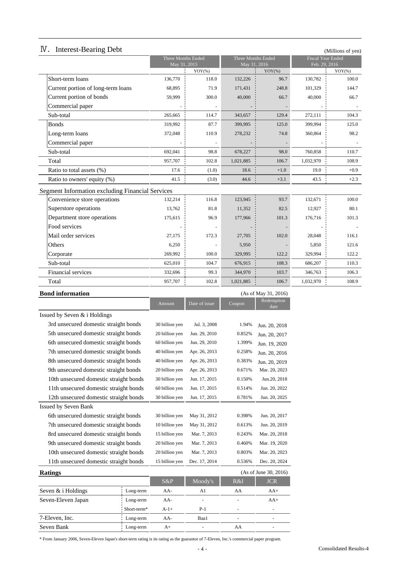| <b>IV.</b> Interest-Bearing Debt |  |
|----------------------------------|--|
|                                  |  |

| IV.<br><b>Interest-Bearing Debt</b>                     | Three Months Ended |               | Three Months Ended |                      | Fiscal Year Ended | (Millions of yen) |
|---------------------------------------------------------|--------------------|---------------|--------------------|----------------------|-------------------|-------------------|
|                                                         | May 31, 2015       |               | May 31, 2016       |                      | Feb. 29, 2016     |                   |
|                                                         |                    | $YOY(\% )$    |                    | $YOY(\%)$            |                   | $YOY(\% )$        |
| Short-term loans                                        | 136,770            | 118.0         | 132,226            | 96.7                 | 130,782           | 100.0             |
| Current portion of long-term loans                      | 68,895             | 71.9          | 171,431            | 248.8                | 101,329           | 144.7             |
| Current portion of bonds                                | 59.999             | 300.0         | 40,000             | 66.7                 | 40,000            | 66.7              |
| Commercial paper                                        |                    |               |                    |                      |                   |                   |
| Sub-total                                               | 265,665            | 114.7         | 343,657            | 129.4                | 272,111           | 104.3             |
| <b>Bonds</b>                                            | 319,992            | 87.7          | 399,995            | 125.0                | 399,994           | 125.0             |
| Long-term loans                                         | 372,048            | 110.9         | 278,232            | 74.8                 | 360,864           | 98.2              |
| Commercial paper                                        |                    |               |                    |                      |                   |                   |
| Sub-total                                               | 692,041            | 98.8          | 678,227            | 98.0                 | 760,858           | 110.7             |
| Total                                                   | 957,707            | 102.8         | 1,021,885          | 106.7                | 1,032,970         | 108.9             |
| Ratio to total assets (%)                               | 17.6               | (1.0)         | 18.6               | $+1.0$               | 19.0              | $+0.9$            |
| Ratio to owners' equity (%)                             | 41.5               | (3.0)         | 44.6               | $+3.1$               | 43.5              | $+2.3$            |
| <b>Segment Information excluding Financial Services</b> |                    |               |                    |                      |                   |                   |
| Convenience store operations                            | 132,214            | 116.8         | 123,945            | 93.7                 | 132,671           | 100.0             |
| Superstore operations                                   | 13.762             | 81.8          | 11,352             | 82.5                 | 12,927            | 80.1              |
| Department store operations                             | 175,615            | 96.9          | 177,966            | 101.3                | 176,716           | 101.3             |
| Food services                                           |                    |               |                    |                      |                   |                   |
| Mail order services                                     | 27,175             | 172.3         | 27,705             | 102.0                | 28,048            | 116.1             |
| Others                                                  | 6,250              |               | 5,950              |                      | 5,850             | 121.6             |
| Corporate                                               | 269,992            | 100.0         | 329,995            | 122.2                | 329,994           | 122.2             |
| Sub-total                                               | 625,010            | 104.7         | 676,915            | 108.3                | 686,207           | 110.3             |
| Financial services                                      | 332,696            | 99.3          | 344,970            | 103.7                | 346,763           | 106.3             |
| Total                                                   | 957,707            | 102.8         | 1,021,885          | 106.7                | 1,032,970         | 108.9             |
| <b>Bond information</b>                                 |                    |               |                    | (As of May 31, 2016) |                   |                   |
|                                                         | Amount             | Date of issue | Coupon             | Redemption<br>date   |                   |                   |
|                                                         |                    |               |                    |                      |                   |                   |

|                                        | ,,,,,,,,,,,,,  | $\sim$ and $\sim$ $\sim$ $\sim$ | $\mathbf{C}\mathbf{u}$ pon | date                  |
|----------------------------------------|----------------|---------------------------------|----------------------------|-----------------------|
| Issued by Seven & i Holdings           |                |                                 |                            |                       |
| 3rd unsecured domestic straight bonds  | 30 billion yen | Jul. 3, 2008                    | 1.94%                      | Jun. 20, 2018         |
| 5th unsecured domestic straight bonds  | 20 billion yen | Jun. 29, 2010                   | 0.852%                     | Jun. 20, 2017         |
| 6th unsecured domestic straight bonds  | 60 billion yen | Jun. 29, 2010                   | 1.399%                     | Jun. 19, 2020         |
| 7th unsecured domestic straight bonds  | 40 billion yen | Apr. 26, 2013                   | 0.258%                     | Jun. 20, 2016         |
| 8th unsecured domestic straight bonds  | 40 billion yen | Apr. 26, 2013                   | 0.383%                     | Jun. 20, 2019         |
| 9th unsecured domestic straight bonds  | 20 billion yen | Apr. 26, 2013                   | 0.671%                     | Mar. 20, 2023         |
| 10th unsecured domestic straight bonds | 30 billion yen | Jun. 17, 2015                   | 0.150%                     | Jun.20, 2018          |
| 11th unsecured domestic straight bonds | 60 billion yen | Jun. 17, 2015                   | 0.514%                     | Jun. 20, 2022         |
| 12th unsecured domestic straight bonds | 30 billion yen | Jun. 17, 2015                   | 0.781%                     | Jun. 20, 2025         |
| Issued by Seven Bank                   |                |                                 |                            |                       |
| 6th unsecured domestic straight bonds  | 30 billion yen | May 31, 2012                    | 0.398%                     | Jun. 20, 2017         |
| 7th unsecured domestic straight bonds  | 10 billion yen | May 31, 2012                    | 0.613%                     | Jun. 20, 2019         |
| 8rd unsecured domestic straight bonds  | 15 billion yen | Mar. 7, 2013                    | 0.243%                     | Mar. 20, 2018         |
| 9th unsecured domestic straight bonds  | 20 billion yen | Mar. 7, 2013                    | 0.460%                     | Mar. 19, 2020         |
| 10th unsecured domestic straight bonds | 20 billion yen | Mar. 7, 2013                    | 0.803%                     | Mar. 20, 2023         |
| 11th unsecured domestic straight bonds | 15 billion yen | Dec. 17, 2014                   | 0.536%                     | Dec. 20, 2024         |
| <b>Ratings</b>                         |                |                                 |                            | (As of June 30, 2016) |
|                                        | $S\&P$         | Moody's                         | $R\&I$                     | <b>JCR</b>            |

|                      |             | $S\&P$ | Moody's                  | R&I | <b>JCR</b>               |
|----------------------|-------------|--------|--------------------------|-----|--------------------------|
| Seven $&$ i Holdings | Long-term   | $AA-$  | A1                       | AA  | $AA+$                    |
| Seven-Eleven Japan   | Long-term   | $AA-$  | $\overline{\phantom{a}}$ |     | $AA+$                    |
|                      | Short-term* | $A-1+$ | $P-1$                    | -   | $\overline{\phantom{m}}$ |
| 7-Eleven, Inc.       | Long-term   | $AA-$  | Baa1                     | -   | $\overline{\phantom{a}}$ |
| Seven Bank           | Long-term   | A+     |                          | AA  | -                        |

\* From January 2006, Seven-Eleven Japan's short-term rating is its rating as the guarantor of 7-Eleven, Inc.'s commercial paper program.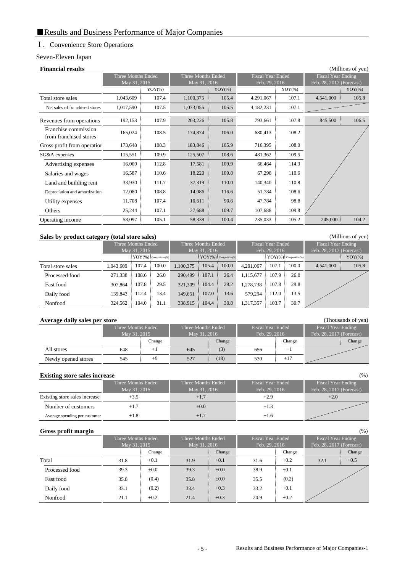# Ⅰ.Convenience Store Operations

# Seven-Eleven Japan

| <b>Financial results</b>                       |                                    |           |                                    |           |           |                                           |           | (Millions of yen)                                     |  |
|------------------------------------------------|------------------------------------|-----------|------------------------------------|-----------|-----------|-------------------------------------------|-----------|-------------------------------------------------------|--|
|                                                | Three Months Ended<br>May 31, 2015 |           | Three Months Ended<br>May 31, 2016 |           |           | <b>Fiscal Year Ended</b><br>Feb. 29, 2016 |           | <b>Fiscal Year Ending</b><br>Feb. 28, 2017 (Forecast) |  |
|                                                |                                    | $YOY(\%)$ |                                    | $YOY(\%)$ |           | $YOY(\%)$                                 |           | $YOY(\%)$                                             |  |
| Total store sales                              | 1,043,609                          | 107.4     | 1,100,375                          | 105.4     | 4,291,067 | 107.1                                     | 4,541,000 | 105.8                                                 |  |
| Net sales of franchised stores                 | 1,017,590                          | 107.5     | 1,073,055                          | 105.5     | 4,182,231 | 107.1                                     |           |                                                       |  |
| Revenues from operations                       | 192,153                            | 107.9     | 203,226                            | 105.8     | 793,661   | 107.8                                     | 845,500   | 106.5                                                 |  |
| Franchise commission<br>from franchised stores | 165,024                            | 108.5     | 174,874                            | 106.0     | 680,413   | 108.2                                     |           |                                                       |  |
| Gross profit from operation                    | 173,648                            | 108.3     | 183,846                            | 105.9     | 716,395   | 108.0                                     |           |                                                       |  |
| SG&A expenses                                  | 115,551                            | 109.9     | 125,507                            | 108.6     | 481,362   | 109.5                                     |           |                                                       |  |
| Advertising expenses                           | 16,000                             | 112.8     | 17,581                             | 109.9     | 66,464    | 114.3                                     |           |                                                       |  |
| Salaries and wages                             | 16,587                             | 110.6     | 18,220                             | 109.8     | 67,298    | 110.6                                     |           |                                                       |  |
| Land and building rent                         | 33,930                             | 111.7     | 37,319                             | 110.0     | 140,340   | 110.8                                     |           |                                                       |  |
| Depreciation and amortization                  | 12,080                             | 108.8     | 14,086                             | 116.6     | 51,784    | 108.6                                     |           |                                                       |  |
| Utility expenses                               | 11,708                             | 107.4     | 10,611                             | 90.6      | 47,784    | 98.8                                      |           |                                                       |  |
| Others                                         | 25,244                             | 107.1     | 27,688                             | 109.7     | 107,688   | 109.8                                     |           |                                                       |  |
| Operating income                               | 58,097                             | 105.1     | 58,339                             | 100.4     | 235,033   | 105.2                                     | 245,000   | 104.2                                                 |  |

# **Sales by product category (total store sales)** (Millions of yen)

| - -               |           | Three Months Ended                       |       |           | Three Months Ended                       |       |           | <b>Fiscal Year Ended</b> |                          | <b>Fiscal Year Ending</b> |           |
|-------------------|-----------|------------------------------------------|-------|-----------|------------------------------------------|-------|-----------|--------------------------|--------------------------|---------------------------|-----------|
|                   |           | May 31, 2015<br>$YOY(\%)$ Composition(%) |       |           | May 31, 2016<br>$YOY(\%)$ Composition(%) |       |           | Feb. 29, 2016            | $YOY(\%)$ Composition(%) | Feb. 28, 2017 (Forecast)  | $YOY(\%)$ |
| Total store sales | 1.043.609 | 107.4                                    | 100.0 | 1.100.375 | 105.4                                    | 100.0 | 4.291.067 | 107.1                    | 100.0                    | 4,541,000                 | 105.8     |
| Processed food    | 271.338   | 108.6                                    | 26.0  | 290,499   | 107.1                                    | 26.4  | 1.115.677 | 107.9                    | 26.0                     |                           |           |
| Fast food         | 307.864   | 107.8                                    | 29.5  | 321,309   | 104.4                                    | 29.2  | 1.278.738 | 107.8                    | 29.8                     |                           |           |
| Daily food        | 139.843   | 112.4                                    | 13.4  | 149,651   | 107.0                                    | 13.6  | 579.294   | 12.0                     | 13.5                     |                           |           |
| Nonfood           | 324.562   | 104.0                                    | 31.1  | 338,915   | 104.4                                    | 30.8  | 1,317,357 | 103.7                    | 30.7                     |                           |           |

| Average daily sales per store |                                    |        |                                    |        |                                    |        | (Thousands of yen)                                    |  |
|-------------------------------|------------------------------------|--------|------------------------------------|--------|------------------------------------|--------|-------------------------------------------------------|--|
|                               | Three Months Ended<br>May 31, 2015 |        | Three Months Ended<br>May 31, 2016 |        | Fiscal Year Ended<br>Feb. 29, 2016 |        | <b>Fiscal Year Ending</b><br>Feb. 28, 2017 (Forecast) |  |
|                               |                                    | Change |                                    | Change |                                    | Change | Change                                                |  |
| All stores                    | 648                                |        | 645                                | (3)    | 656                                |        |                                                       |  |
| Newly opened stores           | 545                                | $+9$   | 527                                | (18)   | 530                                | $+17$  |                                                       |  |

### **Existing store sales increase** (%)

|                               | Three Months Ended<br>May 31, 2015 | Three Months Ended<br>May 31, 2016 | <b>Fiscal Year Ended</b><br>Feb. 29, 2016 | Fiscal Year Ending<br>Feb. 28, 2017 (Forecast) |
|-------------------------------|------------------------------------|------------------------------------|-------------------------------------------|------------------------------------------------|
| Existing store sales increase |                                    | $+1.7$                             | $+2.9$                                    | $+2.0$                                         |
| Number of customers           |                                    | $\pm 0.0$                          | +1.3                                      |                                                |
| Average spending per customer | +1.8                               | $+1.7$                             | +1.6                                      |                                                |

#### **Gross profit margin** (%)

|                |      | Three Months Ended<br>May 31, 2015 |      | Three Months Ended<br>May 31, 2016 |      | <b>Fiscal Year Ended</b><br>Feb. 29, 2016 |      | Fiscal Year Ending<br>Feb. 28, 2017 (Forecast) |  |
|----------------|------|------------------------------------|------|------------------------------------|------|-------------------------------------------|------|------------------------------------------------|--|
|                |      | Change                             |      | Change                             |      | Change                                    |      | Change                                         |  |
| Total          | 31.8 | $+0.1$                             | 31.9 | $+0.1$                             | 31.6 | $+0.2$                                    | 32.1 | $+0.5$                                         |  |
| Processed food | 39.3 | $\pm 0.0$                          | 39.3 | $\pm 0.0$                          | 38.9 | $+0.1$                                    |      |                                                |  |
| Fast food      | 35.8 | (0.4)                              | 35.8 | $\pm 0.0$                          | 35.5 | (0.2)                                     |      |                                                |  |
| Daily food     | 33.1 | (0.2)                              | 33.4 | $+0.3$                             | 33.2 | $+0.1$                                    |      |                                                |  |
| Nonfood        | 21.1 | $+0.2$                             | 21.4 | $+0.3$                             | 20.9 | $+0.2$                                    |      |                                                |  |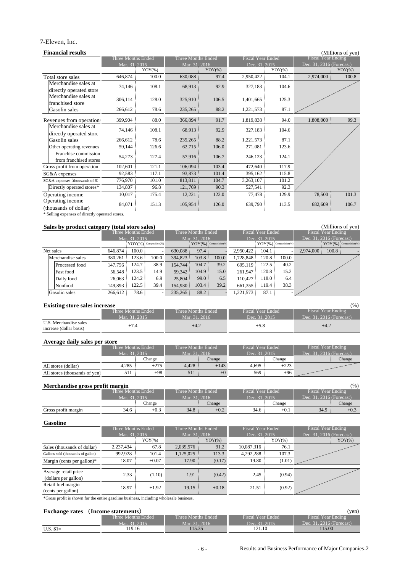# 7-Eleven, Inc.

| <b>Financial results</b>        |                    |           |                    |           |                   |           |                          | (Millions of yen) |
|---------------------------------|--------------------|-----------|--------------------|-----------|-------------------|-----------|--------------------------|-------------------|
|                                 | Three Months Ended |           | Three Months Ended |           | Fiscal Year Ended |           | Fiscal Year Ending       |                   |
|                                 | Mar. 31, 2015      |           | Mar. 31, 2016      |           | Dec. 31, 2015     |           | Dec. 31, 2016 (Forecast) |                   |
|                                 |                    | $YOY$ (%) |                    | $YOY(\%)$ |                   | $YOY$ (%) |                          | $YOY(\% )$        |
| Total store sales               | 646,874            | 100.0     | 630,088            | 97.4      | 2,950,422         | 104.1     | 2,974,000                | 100.8             |
| Merchandise sales at            | 74,146             | 108.1     | 68,913             | 92.9      | 327,183           | 104.6     |                          |                   |
| directly operated store         |                    |           |                    |           |                   |           |                          |                   |
| Merchandise sales at            | 306,114            | 128.0     | 325,910            | 106.5     | 1,401,665         | 125.3     |                          |                   |
| franchised store                |                    |           |                    |           |                   |           |                          |                   |
| Gasolin sales                   | 266,612            | 78.6      | 235,265            | 88.2      | 1,221,573         | 87.1      |                          |                   |
| Revenues from operations        | 399,904            | 88.0      | 366,894            | 91.7      | 1,819,838         | 94.0      | $1,808,000$ :            | 99.3              |
| Merchandise sales at            |                    |           |                    |           |                   |           |                          |                   |
| directly operated store         | 74,146             | 108.1     | 68,913             | 92.9      | 327,183           | 104.6     |                          |                   |
| Gasolin sales                   | 266,612            | 78.6      | 235,265            | 88.2      | 1,221,573         | 87.1      |                          |                   |
| Other operating revenues        | 59,144             | 126.6     | 62,715             | 106.0     | 271,081           | 123.6     |                          |                   |
| Franchise commission            | 54,273             | 127.4     | 57,916             | 106.7     | 246,123           | 124.1     |                          |                   |
| from franchised stores          |                    |           |                    |           |                   |           |                          |                   |
| Gross profit from operation     | 102,601            | 121.1     | 106,094            | 103.4     | 472,640           | 117.9     |                          |                   |
| SG&A expenses                   | 92,583             | 117.1     | 93,873             | 101.4     | 395,162           | 115.8     |                          |                   |
| SG&A expenses (thousands of \$) | 776,970            | 101.0     | 813,811            | 104.7     | 3,263,107         | 101.2     |                          |                   |
| Directly operated stores*       | 134,807            | 96.8      | 121,769            | 90.3      | 527,541           | 92.3      |                          |                   |
| Operating income                | 10,017             | 175.4     | 12,221             | 122.0     | 77,478            | 129.9     | 78,500                   | 101.3             |
| Operating income                | 84,071             | 151.3     | 105,954            | 126.0     | 639,790           | 113.5     | 682,609                  | 106.7             |
| (thousands of dollar)           |                    |           |                    |           |                   |           |                          |                   |

\* Selling expenses of directly operated stores.

# **Sales by product category (total store sales)** (Millions of yen)

| $\sim$ $\sim$ $\sim$ $\sim$ $\sim$<br>-- |           |                    |                            |               |                          |       |                   |               |                          |                              |
|------------------------------------------|-----------|--------------------|----------------------------|---------------|--------------------------|-------|-------------------|---------------|--------------------------|------------------------------|
|                                          |           | Three Months Ended |                            |               | Three Months Ended       |       | Fiscal Year Ended |               |                          | <b>Fiscal Year Ending</b>    |
|                                          |           | Mar. 31, 2015      |                            |               | Mar. 31, 2016            |       |                   | Dec. 31, 2015 |                          | Dec. 31, 2016 (Forecast)     |
|                                          |           |                    | $YOY(\%)$ : Composition(%) |               | $YOY(\%)$ Composition(%) |       |                   |               | $YOY(\%)$ Composition(%) | : $YOY(\% )$ : Composition(% |
| Net sales                                | 646.874:  | $100.0$ :          |                            | $630.088 \pm$ | 97.4:                    |       | 2,950,422 :       | 104.1         |                          | 100.8<br>$2,974,000$ :       |
| Merchandise sales                        | 380.261   | 123.6:             | 100.0                      | $394,823$ :   | 103.8                    | 100.0 | 1.728.848         | 120.8         | 100.0                    |                              |
| Processed food                           | 147,756   | 124.7:             | 38.9                       | 154.744 :     | $104.7$ :                | 39.2  | 695.119:          | 122.5         | 40.2                     |                              |
| Fast food                                | 56,548    | 123.5:             | 14.9                       | 59,342 :      | 104.9:                   | 15.0  | 261,947           | 120.8:        | 15.2                     |                              |
| Daily food                               | 26,063    | 124.2 :            | 6.9                        | 25,804        | 99.0                     | 6.5   | 110.427           | $118.0$ :     | 6.4                      |                              |
| Nonfood                                  | 149.893 : | $122.5$ :          | 39.4                       | 154,930 :     | 103.4:                   | 39.2  | 661,355           | 119.4         | 38.3                     |                              |
| Gasolin sales                            | 266,612 : | 78.6               | $\overline{\phantom{a}}$   | 235,265       | 88.2                     |       | .221,573 i        | 87.1          |                          |                              |

#### **Existing store sales increase** (%)

| -----------                                       |                    |                    |                          |                            |  |  |  |  |  |  |  |
|---------------------------------------------------|--------------------|--------------------|--------------------------|----------------------------|--|--|--|--|--|--|--|
|                                                   | Three Months Ended | Three Months Ended | <b>Fiscal Year Ended</b> | Fiscal Year Ending         |  |  |  |  |  |  |  |
|                                                   | Mar. 31, 2015      | Mar. 31. 2016'     | Dec. 31, 2015            | Dec. $31, 2016$ (Forecast) |  |  |  |  |  |  |  |
| U.S. Merchandise sales<br>increase (dollar basis) |                    | $+4.2$             | $+5.8$                   | $+4.2$                     |  |  |  |  |  |  |  |

#### **Average daily sales per store**

|                               | Three Months Ended |        | Three Months Ended |         | Fiscal Year Ended |        | 'Fiscal Year Ending .                 |        |
|-------------------------------|--------------------|--------|--------------------|---------|-------------------|--------|---------------------------------------|--------|
|                               | Mar. 31, 2015      |        | Mar. 31, 2016      |         | Dec. 31, 2015     |        | Dec. 31, $201\overline{6}$ (Forecast) |        |
|                               |                    | Change |                    | Change  |                   | Change |                                       | Change |
| All stores (dollar)           | 4.285              | $+275$ | 4.428              | $+143$  | 4.695             | $+223$ |                                       |        |
| All stores (thousands of yen) | 511                | $+98$  |                    | $\pm 0$ | 569               | $+96$  |                                       |        |

| (96)<br>Merchandise gross profit margin |               |                      |               |                    |               |                          |                            |        |
|-----------------------------------------|---------------|----------------------|---------------|--------------------|---------------|--------------------------|----------------------------|--------|
|                                         |               | Three Months Ended ' |               | Three Months Ended |               | <b>Fiscal Year Ended</b> | <b>Fiscal Year Ending</b>  |        |
|                                         | Mar. 31, 2015 |                      | Mar. 31, 2016 |                    | Dec. 31, 2015 |                          | Dec. $31.2016$ (Forecast). |        |
|                                         | Change        |                      |               | Change             |               | Change                   |                            | Change |
| Gross profit margin                     | 34.6          | $+0.3$               | $34.8 \pm$    | $+0.2$             | 34.6          | $+0.1$                   | 34.9                       | $+0.3$ |

#### **Gasoline**

|                                              | Three Months Ended |            | Three Months Ended |            | <b>Fiscal Year Ended</b> |            | Fiscal Year Ending       |            |
|----------------------------------------------|--------------------|------------|--------------------|------------|--------------------------|------------|--------------------------|------------|
|                                              | Mar. 31, 2015      |            | Mar. 31, 2016      |            | Dec. 31, 2015            |            | Dec. 31, 2016 (Forecast) |            |
|                                              |                    | $YOY(\% )$ |                    | $YOY(\% )$ |                          | $YOY(\% )$ |                          | $YOY(\% )$ |
| Sales (thousands of dollar)                  | 2,237,434          | 67.8       | 2,039,576 :        | 91.2       | 10.087.316               | 76.1       |                          |            |
| Gallons sold (thousands of gallon)           | 992.928            | 101.4      | 1,125,025          | 113.3      | 4.292.288                | 107.3      |                          |            |
| Margin (cents per gallon)*                   | 18.07              | $+0.07$    | 17.90:             | (0.17)     | 19.80                    | (1.01)     |                          |            |
| Average retail price<br>(dollars per gallon) | 2.33               | (1.10)     | 1.91               | (0.42)     | 2.45                     | (0.94)     |                          |            |
| Retail fuel margin<br>(cents per gallon)     | 18.97              | $+1.92$    | $19.15$ :          | $+0.18$    | 21.51                    | (0.92)     |                          |            |

\*Gross profit is shown for the entire gasoline business, including wholesale business.

# **Exchange rates** (**Income statements**) (yen)

| <b>EACHAILECT ARE</b> | THROME statements  |                    |                   | , , , , ,                |
|-----------------------|--------------------|--------------------|-------------------|--------------------------|
|                       | Three Months Ended | Three Months Ended | Fiscal Year Ended | Fiscal Year Ending       |
|                       | Mar. 31. 2015      | Mar. 31, 2016      | Dec. 31, 2015     | Dec. 31, 2016 (Forecast) |
| $U.S. $1=$            | 19.16              | 15.35              | 121.10            | 115.00                   |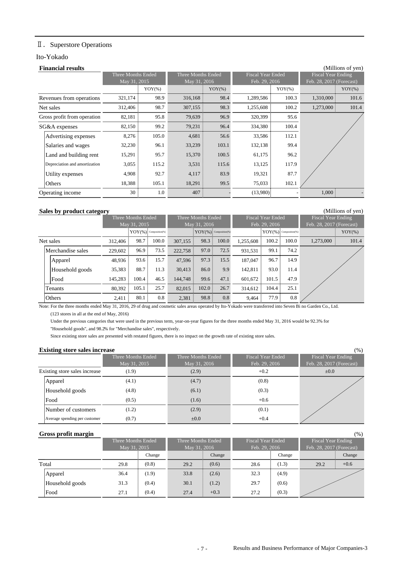# Ⅱ.Superstore Operations

### Ito-Yokado

| <b>Financial results</b>      | (Millions of yen)  |            |                           |            |                          |           |                           |           |  |  |
|-------------------------------|--------------------|------------|---------------------------|------------|--------------------------|-----------|---------------------------|-----------|--|--|
|                               | Three Months Ended |            | <b>Three Months Ended</b> |            | <b>Fiscal Year Ended</b> |           | <b>Fiscal Year Ending</b> |           |  |  |
|                               | May 31, 2015       |            | May 31, 2016              |            | Feb. 29, 2016            |           | Feb. 28, 2017 (Forecast)  |           |  |  |
|                               |                    | $YOY(\% )$ |                           | $YOY(\% )$ |                          | $YOY$ (%) |                           | $YOY(\%)$ |  |  |
| Revenues from operations      | 321,174            | 98.9       | 316,168                   | 98.4       | 1,289,586                | 100.3     | 1,310,000                 | 101.6     |  |  |
| Net sales                     | 312,406            | 98.7       | 307,155                   | 98.3       | 1,255,608                | 100.2     | $1,273,000 \end{cases}$   | 101.4     |  |  |
| Gross profit from operation   | 82,181             | 95.8       | 79,639                    | 96.9       | 320,399                  | 95.6      |                           |           |  |  |
| SG&A expenses                 | 82,150             | 99.2       | 79,231                    | 96.4       | 334,380                  | 100.4     |                           |           |  |  |
| Advertising expenses          | 8,276              | 105.0      | 4,681                     | 56.6       | 33,586                   | 112.1     |                           |           |  |  |
| Salaries and wages            | 32,230             | 96.1       | 33,239                    | 103.1      | 132,138                  | 99.4      |                           |           |  |  |
| Land and building rent        | 15,291             | 95.7       | 15,370                    | 100.5      | 61,175                   | 96.2      |                           |           |  |  |
| Depreciation and amortization | 3,055              | 115.2      | 3,531                     | 115.6      | 13,125                   | 117.9     |                           |           |  |  |
| Utility expenses              | 4,908              | 92.7       | 4,117                     | 83.9       | 19,321                   | 87.7      |                           |           |  |  |
| Others                        | 18,388             | 105.1      | 18,291                    | 99.5       | 75,033                   | 102.1     |                           |           |  |  |
| Operating income              | 30                 | 1.0        | 407                       |            | (13,980)                 |           | $1,000 \end{array}$       |           |  |  |

#### **Sales by product category** (Millions of yen)

|                   |               | Three Months Ended        |       |                       | Three Months Ended       |       |           | <b>Fiscal Year Ended</b>  |       | <b>Fiscal Year Ending</b> |           |
|-------------------|---------------|---------------------------|-------|-----------------------|--------------------------|-------|-----------|---------------------------|-------|---------------------------|-----------|
|                   |               | May 31, 2015              |       |                       | May 31, 2016             |       |           | Feb. 29, 2016             |       | Feb. 28, 2017 (Forecast)  |           |
|                   |               | $YOY$ (%): Composition(%) |       |                       | $YOY(\%)$ Composition(%) |       |           | $'YOY(\%)$ Composition(%) |       |                           | $YOY$ (%) |
| Net sales         | $312,406 \pm$ | $98.7 \pm$                | 100.0 | 307,155               | 98.3                     | 100.0 | 1,255,608 | $100.2 \pm$               | 100.0 | 1,273,000                 | 101.4     |
| Merchandise sales | $229.602 \pm$ | 96.9:                     | 73.5  | 222,758               | 97.0:                    | 72.5  | 931,531   | 99.1                      | 74.2  |                           |           |
| Apparel           | 48,936        | 93.6:                     | 15.7  | 47.596 $\overline{5}$ | 97.3:                    | 15.5  | 187,047   | 96.7:                     | 14.9  |                           |           |
| Household goods   | $35,383 \pm$  | 88.7:                     | 11.3  | 30,413                | 86.0:                    | 9.9   | 142.811   | $93.0 \pm$                | 11.4  |                           |           |
| Food              | 145,283       | $100.4 \pm$               | 46.5  | 144,748 :             | 99.6:                    | 47.1  | 601,672   | $101.5 \pm$               | 47.9  |                           |           |
| Tenants           | $80.392 \pm$  | 105.1                     | 25.7  | 82.015                | 102.0:                   | 26.7  | 314,612 : | 104.4:                    | 25.1  |                           |           |
| <b>Others</b>     | 2,411         | 80.1                      | 0.8   | 2,381                 | 98.8                     | 0.8   | 9,464     | 77.9:                     | 0.8   |                           |           |

Note: For the three months ended May 31, 2016, 29 of drug and cosmetic sales areas operated by Ito-Yokado were transferred into Seven Bi no Garden Co., Ltd.

 $(123$  stores in all at the end of May, 2016)

Under the previous categories that were used in the previous term, year-on-year figures for the three months ended May 31, 2016 would be 92.3% for

"Household goods", and 98.2% for "Merchandise sales", respectively.

Since existing store sales are presented with restated figures, there is no impact on the growth rate of existing store sales.

#### **Existing store sales increase** (%)

| <b>EXISTING Store Suits Intertast</b> |                    |                    |                          | $\sqrt{2}$               |
|---------------------------------------|--------------------|--------------------|--------------------------|--------------------------|
|                                       | Three Months Ended | Three Months Ended | <b>Fiscal Year Ended</b> | Fiscal Year Ending       |
|                                       | May 31, 2015       | May 31, 2016       | Feb. 29, 2016            | Feb. 28, 2017 (Forecast) |
| Existing store sales increase         | (1.9)              | (2.9)              | $+0.2$                   | $\pm 0.0$                |
| Apparel                               | (4.1)              | (4.7)              | (0.8)                    |                          |
| Household goods                       | (4.8)              | (6.1)              | (0.3)                    |                          |
| <b>Food</b>                           | (0.5)              | (1.6)              | $+0.6$                   |                          |
| Number of customers                   | (1.2)              | (2.9)              | (0.1)                    |                          |
| Average spending per customer         | (0.7)              | $\pm 0.0$          | $+0.4$                   |                          |

#### **Gross profit margin** (%)

|                 |                                    |        |      |                                    |      |                                           |      | $\cdots$                                       |  |
|-----------------|------------------------------------|--------|------|------------------------------------|------|-------------------------------------------|------|------------------------------------------------|--|
|                 | Three Months Ended<br>May 31, 2015 |        |      | Three Months Ended<br>May 31, 2016 |      | <b>Fiscal Year Ended</b><br>Feb. 29, 2016 |      | Fiscal Year Ending<br>Feb. 28, 2017 (Forecast) |  |
|                 |                                    | Change |      | Change                             |      | Change                                    |      | Change                                         |  |
| Total           | 29.8                               | (0.8)  | 29.2 | (0.6)                              | 28.6 | (1.3)                                     | 29.2 | $+0.6$                                         |  |
| Apparel         | 36.4                               | (1.9)  | 33.8 | (2.6)                              | 32.3 | (4.9)                                     |      |                                                |  |
| Household goods | 31.3                               | (0.4)  | 30.1 | (1.2)                              | 29.7 | (0.6)                                     |      |                                                |  |
| lFood           | 27.1                               | (0.4)  | 27.4 | $+0.3$                             | 27.2 | (0.3)                                     |      |                                                |  |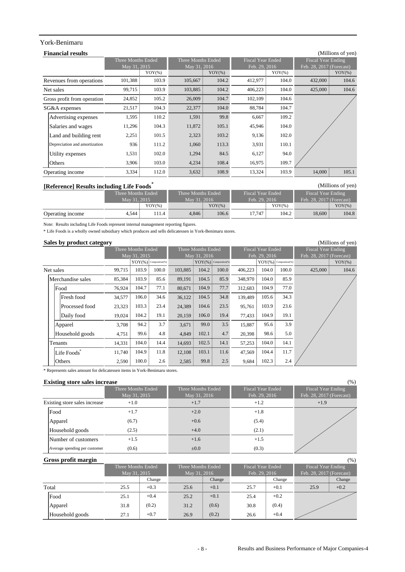# York-Benimaru

| <b>Financial results</b>      |                    |            |                    |            |                          |            |                           | (Millions of yen) |
|-------------------------------|--------------------|------------|--------------------|------------|--------------------------|------------|---------------------------|-------------------|
|                               | Three Months Ended |            | Three Months Ended |            | <b>Fiscal Year Ended</b> |            | <b>Fiscal Year Ending</b> |                   |
|                               | May 31, 2015       |            | May 31, 2016       |            | Feb. 29, 2016            |            | Feb. 28, 2017 (Forecast)  |                   |
|                               |                    | $YOY(\% )$ |                    | $YOY(\% )$ |                          | $YOY(\% )$ |                           | $YOY(\%)$         |
| Revenues from operations      | 101,388            | 103.9      | 105,667            | 104.2      | 412,977                  | 104.0      | 432,000                   | 104.6             |
| Net sales                     | 99,715             | 103.9      | 103,885            | 104.2      | 406,223                  | 104.0      | 425,000                   | 104.6             |
| Gross profit from operation   | 24,852             | 105.2      | 26,009             | 104.7      | 102,109                  | 104.6      |                           |                   |
| SG&A expenses                 | 21,517             | 104.3      | 22,377             | 104.0      | 88,784                   | 104.7      |                           |                   |
| Advertising expenses          | 1.595              | 110.2      | 1,591              | 99.8       | 6,667                    | 109.2      |                           |                   |
| Salaries and wages            | 11,296             | 104.3      | 11,872             | 105.1      | 45,946                   | 104.0      |                           |                   |
| Land and building rent        | 2,251              | 101.5      | 2,323              | 103.2      | 9,136                    | 102.0      |                           |                   |
| Depreciation and amortization | 936:               | 111.2      | 1,060              | 113.3      | 3,931                    | 110.1      |                           |                   |
| Utility expenses              | 1,531              | 102.0      | 1,294              | 84.5       | 6,127                    | 94.0       |                           |                   |
| Others                        | 3,906              | 103.0      | 4,234              | 108.4      | 16,975                   | 109.7      |                           |                   |
| Operating income              | 3,334              | 112.0      | 3,632              | 108.9      | 13,324                   | 103.9      | $14,000 \pm$              | 105.1             |

### **[Reference] Results including Life Foods\*** (Millions of yen)

| $\mu$ and $\mu$ and $\mu$ and $\mu$ and $\mu$ and $\mu$ and $\mu$ |                    |      |                    |           |                   |           |                            |           |  |
|-------------------------------------------------------------------|--------------------|------|--------------------|-----------|-------------------|-----------|----------------------------|-----------|--|
|                                                                   | Three Months Ended |      | Three Months Ended |           | Fiscal Year Ended |           | <b>Fiscal Year Ending</b>  |           |  |
|                                                                   | May 31, 2015       |      | May 31, 2016       |           | Feb. 29, 2016     |           | Feb. $28, 2017$ (Forecast) |           |  |
|                                                                   | $YOY(\% )$         |      |                    | $YOY(\%)$ |                   | $YOY(\%)$ |                            | $YOY(\%)$ |  |
| Operating income                                                  | 4.544 :            | 11.4 | 4.846:             | 106.6     | 17.747            | 104.2     | $18,600 \pm$               | 104.8     |  |

Note: Results including Life Foods represent internal management reporting figures.

\* Life Foods is a wholly owned subsidiary which produces and sells delicatessen in York-Benimaru stores.

### **Sales by product category** (Millions of yen)

| ັ<br>-                  |        |                    |                             |         |                             |       |         |                             |       |                           |           |
|-------------------------|--------|--------------------|-----------------------------|---------|-----------------------------|-------|---------|-----------------------------|-------|---------------------------|-----------|
|                         |        | Three Months Ended |                             |         | Three Months Ended          |       |         | <b>Fiscal Year Ended</b>    |       | <b>Fiscal Year Ending</b> |           |
|                         |        | May 31, 2015       |                             |         | May 31, 2016                |       |         | Feb. 29, 2016               |       | Feb. 28, 2017 (Forecast)  |           |
|                         |        |                    | $YOY(\% )$ : Composition(%) |         | $YOY(\% )$ : Composition(%) |       |         | $YOY(\% )$ : Composition(%) |       |                           | $YOY(\%)$ |
| Net sales               | 99,715 | 103.9:             | 100.0                       | 103,885 | 104.2:                      | 100.0 | 406,223 | 104.0                       | 100.0 | 425,000                   | 104.6     |
| Merchandise sales       | 85,384 | 103.9              | 85.6                        | 89,191  | 104.5                       | 85.9  | 348,970 | 104.0                       | 85.9  |                           |           |
| Food                    | 76,924 | 104.7              | 77.1                        | 80,671  | 104.9                       | 77.7  | 312,683 | 104.9                       | 77.0  |                           |           |
| Fresh food              | 34,577 | 106.0              | 34.6                        | 36,122  | 104.5                       | 34.8  | 139.489 | 105.6                       | 34.3  |                           |           |
| Processed food          | 23,323 | 103.3              | 23.4                        | 24,389  | 104.6                       | 23.5  | 95,761  | 103.9                       | 23.6  |                           |           |
| Daily food              | 19,024 | $104.2 \pm$        | 19.1                        | 20,159  | 106.0                       | 19.4  | 77,433  | 104.9                       | 19.1  |                           |           |
| Apparel                 | 3,708  | 94.2:              | 3.7                         | 3,671   | 99.0:                       | 3.5   | 15,887  | 95.6                        | 3.9   |                           |           |
| Household goods         | 4,751  | 99.6               | 4.8                         | 4.849   | 102.1                       | 4.7   | 20,398  | 98.6                        | 5.0   |                           |           |
| Tenants                 | 14,331 | 104.0              | 14.4                        | 14,693  | 102.5                       | 14.1  | 57,253  | 104.0                       | 14.1  |                           |           |
| Life Foods <sup>®</sup> | 11,740 | 104.9              | 11.8                        | 12,108  | 103.1                       | 11.6  | 47,569  | 104.4                       | 11.7  |                           |           |
| Others                  | 2,590  | 100.0              | 2.6                         | 2,585   | 99.8                        | 2.5   | 9,684   | 102.3                       | 2.4   |                           |           |

\* Represents sales amount for delicatessen items in York-Benimaru stores.

#### **Existing store sales increase** (%)

| $\sqrt{2}$                    | Three Months Ended<br>May 31, 2015 | Three Months Ended<br>May 31, 2016 | Fiscal Year Ended<br>Feb. 29, 2016 | Fiscal Year Ending<br>Feb. 28, 2017 (Forecast) |
|-------------------------------|------------------------------------|------------------------------------|------------------------------------|------------------------------------------------|
| Existing store sales increase | $+1.0$                             | $+1.7$                             | $+1.2$                             | $+1.9$                                         |
| Food                          | $+1.7$                             | $+2.0$                             | $+1.8$                             |                                                |
| Apparel                       | (6.7)                              | $+0.6$                             | (5.4)                              |                                                |
| Household goods               | (2.5)                              | $+4.0$                             | (2.1)                              |                                                |
| Number of customers           | $+1.5$                             | $+1.6$                             | $+1.5$                             |                                                |
| Average spending per customer | (0.6)                              | $\pm 0.0$                          | (0.3)                              |                                                |

|  | Gross profit margin |
|--|---------------------|
|  |                     |

| Gross profit margin |                                  |        |                    |        |                          |        |                          | (% )   |
|---------------------|----------------------------------|--------|--------------------|--------|--------------------------|--------|--------------------------|--------|
|                     | Three Months Ended               |        | Three Months Ended |        | <b>Fiscal Year Ended</b> |        | Fiscal Year Ending       |        |
|                     | $\overline{\text{May }31, 2015}$ |        | May 31, 2016       |        | Feb. 29, 2016            |        | Feb. 28, 2017 (Forecast) |        |
|                     |                                  | Change |                    | Change |                          | Change |                          | Change |
| Total               | 25.5                             | $+0.3$ | 25.6               | $+0.1$ | 25.7                     | $+0.1$ | 25.9                     | $+0.2$ |
| Food                | 25.1                             | $+0.4$ | 25.2               | $+0.1$ | 25.4                     | $+0.2$ |                          |        |
| Apparel             | 31.8                             | (0.2)  | 31.2               | (0.6)  | 30.8                     | (0.4)  |                          |        |
| Household goods     | 27.1                             | $+0.7$ | 26.9               | (0.2)  | 26.6                     | $+0.4$ |                          |        |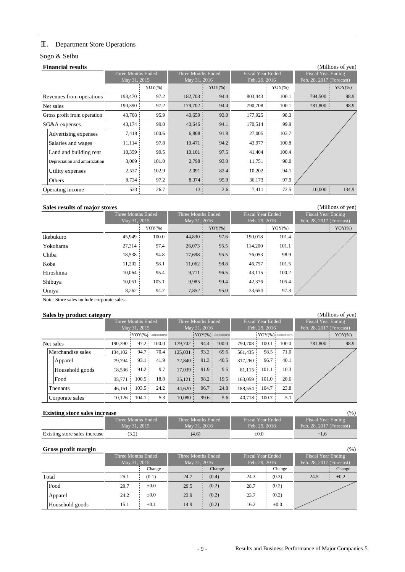# Ⅲ. Department Store Operations

# Sogo & Seibu

|           | <b>Financial results</b>      |                    |            |                    |           |                          |            |                           | (Millions of yen) |
|-----------|-------------------------------|--------------------|------------|--------------------|-----------|--------------------------|------------|---------------------------|-------------------|
|           |                               | Three Months Ended |            | Three Months Ended |           | <b>Fiscal Year Ended</b> |            | <b>Fiscal Year Ending</b> |                   |
|           |                               | May 31, 2015       |            | May 31, 2016       |           | Feb. 29, 2016            |            | Feb. 28, 2017 (Forecast)  |                   |
|           |                               |                    | $YOY(\% )$ |                    | $YOY(\%)$ |                          | $YOY(\% )$ |                           | $YOY(\%)$         |
|           | Revenues from operations      | 193,470            | 97.2       | 182,703 :          | 94.4      | 803,443                  | 100.1      | 794,500                   | 98.9              |
| Net sales |                               | 190,390            | 97.2       | 179,702            | 94.4      | 790,708                  | 100.1      | 781,800                   | 98.9              |
|           | Gross profit from operation   | 43,708             | 95.9       | 40,659             | 93.0      | 177,925                  | 98.3       |                           |                   |
|           | SG&A expenses                 | $43,174$ :         | 99.0       | $40,646$ :         | 94.1      | $170,514$ :              | 99.9       |                           |                   |
|           | Advertising expenses          | 7,418              | 100.6      | 6,808              | 91.8      | $27,005$ :               | 103.7      |                           |                   |
|           | Salaries and wages            | $11,114$ :         | 97.8       | 10,471             | 94.2      | 43,977 :                 | 100.8      |                           |                   |
|           | Land and building rent        | 10,359             | 99.5       | 10,101             | 97.5      | $41,404$ :               | 100.4      |                           |                   |
|           | Depreciation and amortization | 3,009              | 101.0      | $2,798$ :          | 93.0      | 11,751                   | 98.0       |                           |                   |
|           | Utility expenses              | 2,537              | 102.9      | 2,091              | 82.4      | $10,202$ :               | 94.1       |                           |                   |
|           | Others                        | 8,734              | 97.2       | 8,374              | 95.9      | 36,173                   | 97.9       |                           |                   |
|           | Operating income              | 533                | 26.7       | 13:                | 2.6       | 7,411                    | 72.5       | $10,000$ :                | 134.9             |

#### **Sales results of major stores** (Millions of yen)

Ikebukuro Yokohama Chiba Kobe Hiroshima Shibuya Omiya 8,262 94.7 7,852 95.0 33,654 97.3 10,051 103.1 9,985 99.4 42,376 105.4 10,064 95.4 9,711 96.5 43,115 100.2 95.5 76,053 98.9 11,202 98.1 11,062 98.8 46,757 101.5 27,314 97.4 26,073 95.5 114,200 101.1 18,538 94.8 17,698 45,949 100.0 44,830 97.6 190,018 101.4  $YOY(\%)$  :  $YOY(\%)$  :  $YOY(\%)$  :  $YOY(\%)$  :  $YOY(\%)$ Three Months Ended May 31, 2015 Three Months Ended May 31, 2016 Fiscal Year Ended 2016 al Year Ending: 8, 2017 (Forecast)

Note: Store sales include corporate sales.

#### **Sales by product category** (Millions of yen)

| . .<br><u>.</u>   |            |                    |                          |            |                          |       |                          |           |       |                          |           |
|-------------------|------------|--------------------|--------------------------|------------|--------------------------|-------|--------------------------|-----------|-------|--------------------------|-----------|
|                   |            | Three Months Ended |                          |            | Three Months Ended       |       | <b>Fiscal Year Ended</b> |           |       | Fiscal Year Ending       |           |
|                   |            | May 31, 2015       |                          |            | May 31, 2016             |       | Feb. 29, 2016            |           |       | Feb. 28, 2017 (Forecast) |           |
|                   |            |                    | $YOY(\%)$ Composition(%) |            | $YOY(\%)$ Composition(%) |       | $YOY($ %) Composition(%) |           |       |                          | $YOY(\%)$ |
| Net sales         | 190.390    | 97.2               | 100.0                    | 179,702 :  | 94.4:                    | 100.0 | 790.708:                 | 100.1:    | 100.0 | 781,800 :                | 98.9      |
| Merchandise sales | 134,102 :  | 94.7               | 70.4                     | 125,001    | 93.2                     | 69.6  | 561.435 :                | 98.5      | 71.0  |                          |           |
| Apparel           | 79,794 :   | 93.1               | 41.9                     | 72,840     | 91.3                     | 40.5  | 317,260                  | 96.7      | 40.1  |                          |           |
| Household goods   | 18,536     | 91.2:              | 9.7                      | 17,039     | 91.9:                    | 9.5   | 81.115                   | 101.1:    | 10.3  |                          |           |
| Food              | 35.771     | $100.5$ :          | 18.8                     | 35,121     | 98.2                     | 19.5  | 163.059                  | $101.0$ : | 20.6  |                          |           |
| Thenants          | 46.161     | 103.5:             | 24.2                     | 44,620:    | 96.7:                    | 24.8  | 188,554                  | $104.7$ : | 23.8  |                          |           |
| Corporate sales   | $10,126$ : | 104.1              | 5.3                      | $10,080$ : | 99.6:                    | 5.6   | $40,718$ :               | 100.7:    | 5.1   |                          |           |

### **Existing store sales increase** (%)

| <b>EXIBURE BOTT BUILD HIGH CUBE</b> |                    |                    |                          | , , , ,                  |
|-------------------------------------|--------------------|--------------------|--------------------------|--------------------------|
|                                     | Three Months Ended | Three Months Ended | <b>Fiscal Year Ended</b> | Fiscal Year Ending       |
|                                     | May 31, 2015       | May 31, 2016       | Feb. 29, 2016            | Feb. 28, 2017 (Forecast) |
| Existing store sales increase       |                    | (4.6)              | $_{\pm 0.0}$             | $+1.6$                   |

### **Gross profit margin** (%)

|                 | Three Months Ended<br>May 31, 2015 |           | Three Months Ended<br>May 31, 2016 |        | Fiscal Year Ended<br>Feb. 29, 2016 |           | Fiscal Year Ending<br>Feb. 28, 2017 (Forecast) |        |
|-----------------|------------------------------------|-----------|------------------------------------|--------|------------------------------------|-----------|------------------------------------------------|--------|
|                 |                                    | Change    |                                    | Change |                                    | Change    |                                                | Change |
| Total           | 25.1                               | (0.1)     | 24.7                               | (0.4)  | 24.3                               | (0.3)     | 24.5                                           | $+0.2$ |
| Food            | 29.7                               | $\pm 0.0$ | 29.5                               | (0.2)  | 28.7                               | (0.2)     |                                                |        |
| Apparel         | 24.2                               | $\pm 0.0$ | 23.9                               | (0.2)  | 23.7                               | (0.2)     |                                                |        |
| Household goods | 15.1                               | $+0.1$    | 14.9                               | (0.2)  | 16.2                               | $\pm 0.0$ |                                                |        |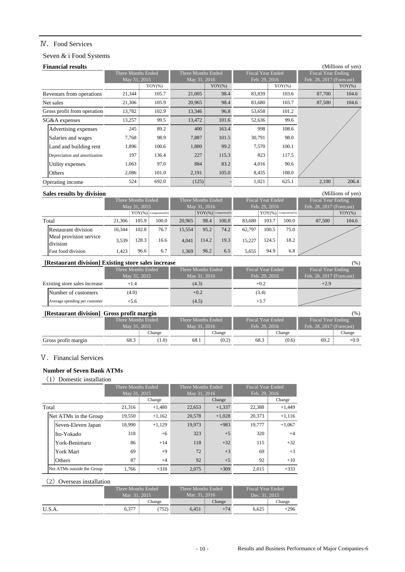## Ⅳ.Food Services

# Seven & i Food Systems

| <b>Financial results</b>      |                    |            |                    |           |                          |            |                           | (Millions of yen) |
|-------------------------------|--------------------|------------|--------------------|-----------|--------------------------|------------|---------------------------|-------------------|
|                               | Three Months Ended |            | Three Months Ended |           | <b>Fiscal Year Ended</b> |            | <b>Fiscal Year Ending</b> |                   |
|                               | May 31, 2015       |            | May 31, 2016       |           | Feb. 29, 2016            |            | Feb. 28, 2017 (Forecast)  |                   |
|                               |                    | $YOY(\% )$ |                    | $YOY$ (%) |                          | $YOY(\% )$ |                           | $YOY(\%)$         |
| Revenues from operations      | 21,344             | 105.7      | 21,005             | 98.4      | 83,839                   | 103.6      | 87,700                    | 104.6             |
| Net sales                     | 21,306             | 105.9      | 20,965             | 98.4      | 83,680                   | 103.7      | 87,500                    | 104.6             |
| Gross profit from operation   | 13,782             | 102.9      | 13,346             | 96.8      | 53,658                   | 101.2      |                           |                   |
| SG&A expenses                 | 13,257             | 99.5       | 13,472             | 101.6     | 52,636                   | 99.6       |                           |                   |
| Advertising expenses          | 245                | 89.2       | 400                | 163.4     | 998                      | 108.6      |                           |                   |
| Salaries and wages            | 7.768              | 98.9       | 7,887              | 101.5     | 30,791                   | 98.0       |                           |                   |
| Land and building rent        | 1,896              | 100.6      | 1,880              | 99.2      | 7,570                    | 100.1      |                           |                   |
| Depreciation and amortization | 197                | 136.4      | 227                | 115.3     | 823                      | 117.5      |                           |                   |
| Utility expenses              | 1,063              | 97.0       | 884                | 83.2      | 4,016                    | 90.6       |                           |                   |
| Others                        | 2,086              | 101.0      | 2,191              | 105.0     | 8,435                    | 108.0      |                           |                   |
| Operating income              | 524                | 692.0      | $(125)$ :          |           | 1,021                    | 625.1      | 2,100:                    | 206.4             |

# **Sales results by division** (Millions of yen)

|                                    |        | Three Months Ended |                          |            | Three Months Ended       |       | <b>Fiscal Year Ended</b> |             |                          | <b>Fiscal Year Ending</b> |           |
|------------------------------------|--------|--------------------|--------------------------|------------|--------------------------|-------|--------------------------|-------------|--------------------------|---------------------------|-----------|
|                                    |        | May 31, 2015       |                          |            | May 31, 2016             |       | Feb. 29, 2016            |             | Feb. 28, 2017 (Forecast) |                           |           |
|                                    |        |                    | $YOY(\%)$ Composition(%) |            | $YOY(\%)$ Composition(%) |       |                          |             | $YOY(\%)$ Composition(%) |                           | $YOY(\%)$ |
| Total                              | 21.306 | 105.9:             | 100.0                    | 20.965     | 98.4:                    | 100.0 | 83.680                   | $103.7 \pm$ | 100.0                    | 87,500                    | 104.6     |
| Restaurant division                | 16.344 | $102.8 \pm$        | 76.7                     | 15,554:    | 95.2:                    | 74.2  | 62.797                   | 100.5       | 75.0                     |                           |           |
| Meal provision service<br>division | 3.539  | 128.3              | 16.6                     | 4.041<br>÷ | 114.2:                   | 19.3  | 15.227                   | 124.5       | 18.2                     |                           |           |
| <b>Fast food division</b>          | 1,423  | 96.6:              | 6.7                      | 1,369:     | 96.2:                    | 6.5   | 5,655                    | 94.9:       | 6.8                      |                           |           |

#### **[Restaurant division] Existing store sales increase** (%)

|                               | Trestaurant urvision] Existing store sales increase |                    |                   | $\sqrt{2}$               |
|-------------------------------|-----------------------------------------------------|--------------------|-------------------|--------------------------|
|                               | Three Months Ended                                  | Three Months Ended | Fiscal Year Ended | Fiscal Year Ending       |
|                               | May 31, 2015                                        | May 31, 2016       | Feb. 29, 2016     | Feb. 28, 2017 (Forecast) |
| Existing store sales increase |                                                     | (4.3)              | $+0.2$            | $+2.9$                   |
| Number of customers           | (4.0)                                               | $+0.2$             | (3.4)             |                          |
| Average spending per customer | $+5.6$                                              | (4.5)              | $+3.7$            |                          |

# **[Restaurant division] Gross profit margin** (%)

| $\left  \right $ restaurant dryfsion $\left  \right $ or oss pront margin |      |                    |      |                    |      |                          |                            | (70 J                     |  |
|---------------------------------------------------------------------------|------|--------------------|------|--------------------|------|--------------------------|----------------------------|---------------------------|--|
|                                                                           |      | Three Months Ended |      | Three Months Ended |      | <b>Fiscal Year Ended</b> |                            | <b>Fiscal Year Ending</b> |  |
|                                                                           |      | May 31, 2015       |      | May 31, 2016       |      | Feb. 29, 2016            | Feb. $28, 2017$ (Forecast) |                           |  |
|                                                                           |      | Change             |      | Change             |      | Change                   |                            | Change                    |  |
| Gross profit margin                                                       | 68.3 | 1.0                | 68.1 | (0.2)              | 68.3 | (0.6)                    | 69.2                       | $+0.9$                    |  |

# V. Financial Services

# **Number of Seven Bank ATMs**

(1) Domestic installation

|       |                            | Three Months Ended |          | Three Months Ended |          | <b>Fiscal Year Ended</b> |          |  |
|-------|----------------------------|--------------------|----------|--------------------|----------|--------------------------|----------|--|
|       |                            | May 31, 2015       |          | May 31, 2016       |          | Feb. 29, 2016            |          |  |
|       |                            |                    | Change   |                    | Change   |                          | Change   |  |
| Total |                            | 21,316             | $+1,480$ | 22,653             | $+1,337$ | 22,388                   | $+1.449$ |  |
|       | Net ATMs in the Group      | 19.550             | $+1.162$ | 20,578             | $+1.028$ | 20.373                   | $+1.116$ |  |
|       | Seven-Eleven Japan         | 18,990             | $+1,129$ | 19.973             | $+983$   | 19.777                   | $+1,067$ |  |
|       | lIto-Yokado                | 318                | $+6$     | 323                | $+5$     | 320                      | $+4$     |  |
|       | York-Benimaru              | 86                 | $+14$    | 118                | $+32$    | 115                      | $+32$    |  |
|       | York Mart                  | 69                 | $+9$     | 72                 | $+3$     | 69                       | $+3$     |  |
|       | <b>Others</b>              | 87                 | $+4$     | 92                 | $+5$     | 92                       | $+10$    |  |
|       | Net ATMs outside the Group | 1,766              | $+318$   | 2.075              | $+309$   | 2.015                    | $+333$   |  |

## (2) Overseas installation

|        | Three Months Ended |         | Three Months Ended <sup>1</sup> |        | <b>Fiscal Year Ended</b> |        |  |
|--------|--------------------|---------|---------------------------------|--------|--------------------------|--------|--|
|        | Mar. 31, 2015      | Change  | Mar. 31, 2016                   | Change | Dec. 31, 2015            | Change |  |
| U.S.A. | 6,377              | $752$ . | 6.451                           | $+74$  | 6,625                    | $+296$ |  |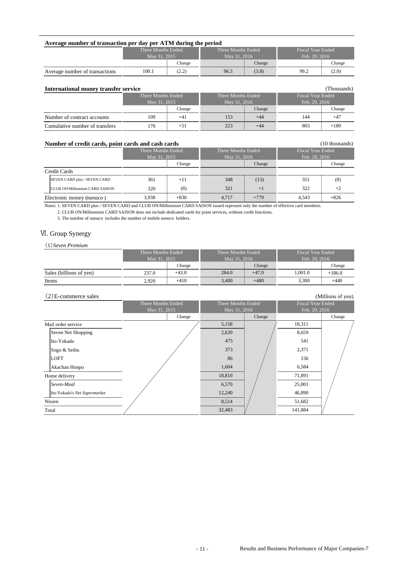| Average number of transaction per day per ATM during the period                    |                    |        |                    |        |                          |        |  |  |  |  |  |
|------------------------------------------------------------------------------------|--------------------|--------|--------------------|--------|--------------------------|--------|--|--|--|--|--|
|                                                                                    | Three Months Ended |        | Three Months Ended |        | <b>Fiscal Year Ended</b> |        |  |  |  |  |  |
|                                                                                    | May 31, 2015       |        | May 31, 2016       |        | Feb. 29, 2016            |        |  |  |  |  |  |
|                                                                                    |                    | Change |                    | Change |                          | Change |  |  |  |  |  |
| 96.3<br>(3.8)<br>99.2<br>(2.2)<br>(2.0)<br>100.1<br>Average number of transactions |                    |        |                    |        |                          |        |  |  |  |  |  |

| (Thousands)<br>International money transfer service |                    |        |                    |        |                          |        |  |  |  |  |  |  |
|-----------------------------------------------------|--------------------|--------|--------------------|--------|--------------------------|--------|--|--|--|--|--|--|
|                                                     | Three Months Ended |        | Three Months Ended |        | <b>Fiscal Year Ended</b> |        |  |  |  |  |  |  |
|                                                     | May 31, 2015       |        | May 31, 2016       |        | Feb. 29, 2016            |        |  |  |  |  |  |  |
|                                                     |                    | Change |                    | Change |                          | Change |  |  |  |  |  |  |
| Number of contract accounts                         | 109                | $+41$  | 153                | $+44$  | 144                      | $+47$  |  |  |  |  |  |  |
| Cumulative number of transfers                      | 179                | $+51$  | 223                | $+44$  | 803                      | $+189$ |  |  |  |  |  |  |

#### **Number of credit cards, point cards and cash cards** (10 thousands) (10 thousands)

|                           | ramper or crean carus, point carus and cash carus |                    |        |                    |        |                          | $10$ and $\mu$ |  |  |
|---------------------------|---------------------------------------------------|--------------------|--------|--------------------|--------|--------------------------|----------------|--|--|
|                           |                                                   | Three Months Ended |        | Three Months Ended |        | <b>Fiscal Year Ended</b> |                |  |  |
|                           |                                                   | May 31, 2015       |        | May 31, 2016       |        | Feb. 29, 2016            |                |  |  |
|                           |                                                   |                    | Change |                    | Change |                          | Change         |  |  |
| Credit Cards              |                                                   |                    |        |                    |        |                          |                |  |  |
|                           | <b>SEVEN CARD plus / SEVEN CARD</b>               | 361                | $+11$  | 348                | (13)   | 351                      | (8)            |  |  |
|                           | <b>ICLUB ON/Millennium CARD SAISON</b>            | 320                | (8)    | 321                | $+1$   | 322                      | $+2$           |  |  |
| Electronic money (nanaco) |                                                   | 3,938              | $+830$ | 4.717              | $+779$ | 4.543                    | $+826$         |  |  |

Notes: 1. SEVEN CARD plus / SEVEN CARD and CLUB ON/Millennium CARD SAISON issued represent only the number of effective card members.

2. CLUB ON/Millennium CARD SAISON does not include dedicated cards for point services, without credit functions.

3. The number of *nanaco* includes the number of mobile *nanaco* holders.

# Ⅵ. Group Synergy

(1)*Seven Premium*

|                         | Three Months Ended |         | Three Months Ended |         | <b>Fiscal Year Ended</b> |          |
|-------------------------|--------------------|---------|--------------------|---------|--------------------------|----------|
|                         | May 31, 2015       |         | May 31, 2016       |         | Feb. 29, 2016            |          |
|                         |                    | Change  |                    | Change  |                          | Change   |
| Sales (billions of yen) | 237.0              | $+43.0$ | 284.0              | $+47.0$ | 1.001.0                  | $+186.0$ |
| Items                   | 2.920              | $+410$  | 3.400              | $+480$  | 3.300                    | $+440$   |

#### (2)E-commerce sales (Millions of yen)

| (2) L-commerce sales         |                    |                    |        |                          | $($ whilions of $y$ cif |
|------------------------------|--------------------|--------------------|--------|--------------------------|-------------------------|
|                              | Three Months Ended | Three Months Ended |        | <b>Fiscal Year Ended</b> |                         |
|                              | May 31, 2015       | May 31, 2016       |        | Feb. 29, 2016            |                         |
|                              | Change             |                    | Change |                          | Change                  |
| Mail order service           |                    | 5,158              |        | 18,311                   |                         |
| Seven Net Shopping           |                    | 2,620              |        | 8,659                    |                         |
| Ito-Yokado                   |                    | 475                |        | 541                      |                         |
| Sogo & Seibu                 |                    | 373                |        | 2,371                    |                         |
| <b>LOFT</b>                  |                    | 86                 |        | 156                      |                         |
| Akachan Honpo                |                    | 1,604              |        | 6,584                    |                         |
| Home delivery                |                    | 18,810             |        | 71,891                   |                         |
| Seven-Meal                   |                    | 6,570              |        | 25,001                   |                         |
| Ito-Yokado's Net Supermarket |                    | 12,240             |        | 46,890                   |                         |
| Nissen                       |                    | 8,514              |        | 51,682                   |                         |
| Total                        |                    | 32,483             |        | 141,884                  |                         |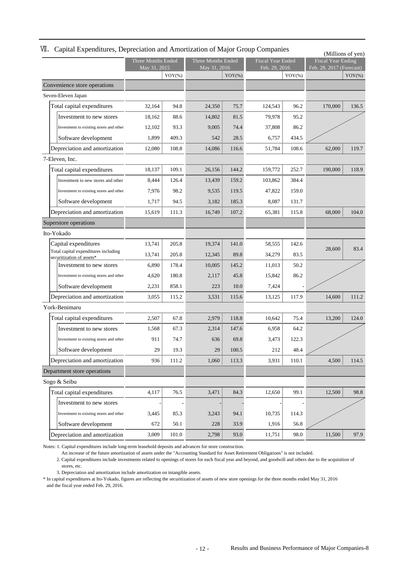# Ⅶ.Capital Expenditures, Depreciation and Amortization of Major Group Companies

| $\epsilon$ aprilie Experiences, $\epsilon$ epi                    |                    |           |                    |           |                          |           | (Millions of yen)         |           |
|-------------------------------------------------------------------|--------------------|-----------|--------------------|-----------|--------------------------|-----------|---------------------------|-----------|
|                                                                   | Three Months Ended |           | Three Months Ended |           | <b>Fiscal Year Ended</b> |           | <b>Fiscal Year Ending</b> |           |
|                                                                   | May 31, 2015       | $YOY(\%)$ | May 31, 2016       | $YOY(\%)$ | Feb. 29, 2016            | $YOY(\%)$ | Feb. 28, 2017 (Forecast)  | $YOY(\%)$ |
| Convenience store operations                                      |                    |           |                    |           |                          |           |                           |           |
| Seven-Eleven Japan                                                |                    |           |                    |           |                          |           |                           |           |
| Total capital expenditures                                        | 32,164             | 94.8      | 24,350             | 75.7      | 124,543                  | 96.2      | 170,000                   | 136.5     |
| Investment to new stores                                          | 18,162             | 88.6      | 14,802             | 81.5      | 79,978                   | 95.2      |                           |           |
| Investment to existing stores and other                           | 12,102             | 93.3      | 9,005              | 74.4      | 37,808                   | 86.2      |                           |           |
| Software development                                              | 1,899              | 409.3     | 542                | 28.5      | 6,757                    | 434.5     |                           |           |
| Depreciation and amortization                                     | 12,080             | 108.8     | 14,086             | 116.6     | 51,784                   | 108.6     | 62,000                    | 119.7     |
| 7-Eleven, Inc.                                                    |                    |           |                    |           |                          |           |                           |           |
| Total capital expenditures                                        | 18,137             | 109.1     | 26,156             | 144.2     | 159,772                  | 252.7     | 190,000                   | 118.9     |
| Investment to new stores and other                                | 8,444              | 126.4     | 13,439             | 159.2     | 103,862                  | 384.4     |                           |           |
| Investment to existing stores and other                           | 7,976              | 98.2      | 9,535              | 119.5     | 47,822                   | 159.0     |                           |           |
| Software development                                              | 1,717              | 94.5      | 3,182              | 185.3     | 8,087                    | 131.7     |                           |           |
| Depreciation and amortization                                     | 15,619             | 111.3     | 16,749             | 107.2     | 65,381                   | 115.8     | 68,000                    | 104.0     |
| Superstore operations                                             |                    |           |                    |           |                          |           |                           |           |
| Ito-Yokado                                                        |                    |           |                    |           |                          |           |                           |           |
| Capital expenditures                                              | 13,741             | 205.8     | 19,374             | 141.0     | 58,555 ;                 | 142.6     |                           |           |
| Total capital expenditures including<br>securitization of assets* | 13,741             | 205.8     | 12,345             | 89.8      | 34,279                   | 83.5      | 28,600                    | 83.4      |
| Investment to new stores                                          | 6,890              | 178.4     | 10,005             | 145.2     | 11,013                   | 50.2      |                           |           |
| Investment to existing stores and other                           | 4,620              | 180.8     | 2,117              | 45.8      | 15,842                   | 86.2      |                           |           |
| Software development                                              | 2,231              | 858.1     | 223                | 10.0      | 7,424                    |           |                           |           |
| Depreciation and amortization                                     | 3,055              | 115.2     | 3,531              | 115.6     | 13,125                   | 117.9     | 14,600                    | 111.2     |
| York-Benimaru                                                     |                    |           |                    |           |                          |           |                           |           |
| Total capital expenditures                                        | 2,507              | 67.8      | 2,979              | 118.8     | 10,642                   | 75.4      | 13,200                    | 124.0     |
| Investment to new stores                                          | 1,568              | 67.3      | 2,314              | 147.6     | 6,958                    | 64.2      |                           |           |
| Investment to existing stores and other                           | 911                | 74.7      | 636                | 69.8      | 3,473                    | 122.3     |                           |           |
| Software development                                              | 29                 | 19.3      | 29                 | 100.5     | 212                      | 48.4      |                           |           |
| Depreciation and amortization                                     | $936 \frac{1}{3}$  | 111.2     | 1,060              | 113.3     | 3,931                    | 110.1     | 4,500                     | 114.5     |
| Department store operations                                       |                    |           |                    |           |                          |           |                           |           |
| Sogo & Seibu                                                      |                    |           |                    |           |                          |           |                           |           |
| Total capital expenditures                                        | 4,117              | 76.5      | 3,471              | 84.3      | 12,650                   | 99.1      | 12,500                    | 98.8      |
| Investment to new stores                                          |                    |           |                    |           |                          |           |                           |           |
| Investment to existing stores and other                           | 3,445              | 85.3      | 3,243              | 94.1      | 10,735                   | 114.3     |                           |           |
| Software development                                              | 672                | 50.1      | 228                | 33.9      | 1,916                    | 56.8      |                           |           |
| Depreciation and amortization                                     | 3,009              | 101.0     | 2,798              | 93.0      | 11,751                   | 98.0      | 11,500                    | 97.9      |

Notes: 1. Capital expenditures include long-term leasehold deposits and advances for store construction.

An increase of the future amortization of assets under the "Accounting Standard for Asset Retirement Obligations" is not included.

2. Capital expenditures include investments related to openings of stores for each fiscal year and beyond, and goodwill and others due to the acquisition of stores, etc.

3. Depreciation and amortization include amortization on intangible assets.

\* In capital expenditures at Ito-Yokado, figures are reflecting the securitization of assets of new store openings for the three months ended May 31, 2016 and the fiscal year ended Feb. 29, 2016.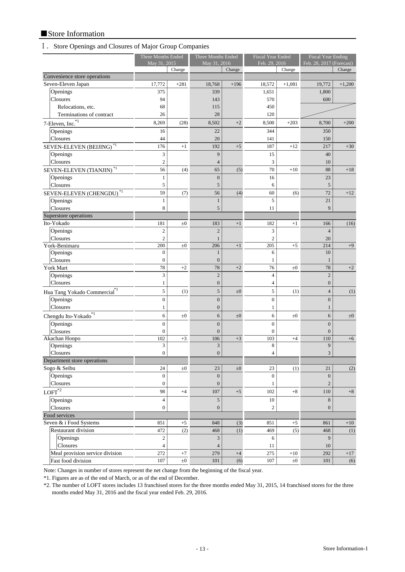# ■Store Information

# Ⅰ.Store Openings and Closures of Major Group Companies

|                                          | Three Months Ended |         | Three Months Ended<br>May 31, 2016 |         | <b>Fiscal Year Ended</b><br>Feb. 29, 2016 |            | <b>Fiscal Year Ending</b><br>Feb. 28, 2017 (Forecast) |          |
|------------------------------------------|--------------------|---------|------------------------------------|---------|-------------------------------------------|------------|-------------------------------------------------------|----------|
|                                          | May 31, 2015       | Change  |                                    | Change  |                                           | Change     |                                                       | Change   |
| Convenience store operations             |                    |         |                                    |         |                                           |            |                                                       |          |
| Seven-Eleven Japan                       | 17,772             | $+281$  | 18,768                             | $+196$  | 18,572                                    | $+1,081$   | 19,772                                                | $+1,200$ |
| Openings                                 | 375                |         | 339                                |         | 1,651                                     |            | 1,800                                                 |          |
| Closures                                 | 94                 |         | 143                                |         | 570                                       |            | 600                                                   |          |
| Relocations, etc.                        | 68                 |         | 115                                |         | 450                                       |            |                                                       |          |
| Terminations of contract                 | 26                 |         | 28                                 |         | 120                                       |            |                                                       |          |
| 7-Eleven, Inc. <sup>*1</sup>             | 8,269              | (28)    | 8,502                              | $+2$    | 8,500                                     | $+203$     | 8,700                                                 | $+200$   |
| Openings                                 | 16                 |         | 22                                 |         | 344                                       |            | 350                                                   |          |
| Closures                                 | 44                 |         | 20                                 |         | 141                                       |            | 150                                                   |          |
| SEVEN-ELEVEN (BEIJING) <sup>*1</sup>     | 176                | $+1$    | 192                                | $+5$    | 187                                       | $+12$      | 217                                                   | $+30$    |
| Openings                                 | 3                  |         | 9                                  |         | 15                                        |            | 40                                                    |          |
| Closures                                 | $\mathfrak{2}$     |         | $\overline{4}$                     |         | 3                                         |            | 10                                                    |          |
| SEVEN-ELEVEN (TIANJIN) <sup>*1</sup>     | 56                 | (4)     | 65                                 | (5)     | 70                                        | $+10$      | 88                                                    | $+18$    |
| Openings                                 | $\mathbf{1}$       |         | $\boldsymbol{0}$                   |         | 16                                        |            | 23                                                    |          |
| Closures                                 | 5                  |         | 5                                  |         | 6                                         |            | 5                                                     |          |
| SEVEN-ELEVEN (CHENGDU) <sup>*1</sup>     | 59                 | (7)     | 56                                 | (4)     | 60                                        | (6)        | 72                                                    | $+12$    |
| Openings                                 | $\mathbf{1}$       |         | $\mathbf{1}$                       |         | 5                                         |            | 21                                                    |          |
| Closures                                 | 8                  |         | 5                                  |         | 11                                        |            | 9                                                     |          |
| Superstore operations                    |                    |         |                                    |         |                                           |            |                                                       |          |
| Ito-Yokado                               | 181                | $\pm 0$ | 183                                | $+1$    | 182                                       | $+1$       | 166                                                   | (16)     |
| Openings                                 | $\overline{c}$     |         | $\overline{2}$                     |         | 3                                         |            | $\overline{4}$                                        |          |
| Closures                                 | $\mathfrak{2}$     |         |                                    |         | $\mathfrak{2}$                            |            | 20                                                    |          |
| York-Benimaru                            | 200                | $\pm 0$ | 206                                | $+1$    | 205                                       | $+5$       | 214                                                   | $+9$     |
| Openings                                 | $\boldsymbol{0}$   |         | $\mathbf{1}$                       |         | 6                                         |            | 10                                                    |          |
| Closures                                 | $\boldsymbol{0}$   |         | $\mathbf{0}$                       |         | 1                                         |            | 1                                                     |          |
| York Mart                                | 78                 | $+2$    | 78                                 | $+2$    | 76                                        | $\pm 0$    | 78                                                    | $+2$     |
| Openings                                 | 3                  |         | $\overline{2}$                     |         | $\overline{4}$                            |            | $\overline{2}$                                        |          |
| Closures                                 | $\mathbf{1}$       |         | $\boldsymbol{0}$                   |         | 4                                         |            | $\overline{0}$                                        |          |
|                                          | $\mathfrak{S}$     | (1)     | 5 <sup>1</sup>                     | $\pm 0$ | 5                                         | (1)        | $\overline{4}$                                        | (1)      |
| Hua Tang Yokado Commercial <sup>*1</sup> |                    |         |                                    |         |                                           |            |                                                       |          |
| Openings                                 | $\boldsymbol{0}$   |         | $\boldsymbol{0}$                   |         | $\boldsymbol{0}$                          |            | $\boldsymbol{0}$                                      |          |
| Closures                                 | $\mathbf{1}$       |         | $\boldsymbol{0}$                   |         | 1                                         |            | $\mathbf{1}$                                          |          |
| Chengdu Ito-Yokado <sup>*1</sup>         | $\epsilon$         | $\pm 0$ | 6                                  | $\pm 0$ | 6                                         | $_{\pm 0}$ | 6                                                     | $\pm 0$  |
| Openings                                 | $\overline{0}$     |         | $\overline{0}$                     |         | $\overline{0}$                            |            | $\overline{0}$                                        |          |
| Closures                                 | $\boldsymbol{0}$   |         | $\overline{0}$                     |         | $\mathbf{0}$                              |            | $\mathbf{0}$                                          |          |
| Akachan Honpo                            | 102<br>3           | $+3$    | 106<br>3                           | $+3$    | 103<br>8                                  | $+4$       | 110<br>9                                              | $+6$     |
| Openings<br>Closures                     | $\overline{0}$     |         | $\mathbf{0}$                       |         | 4                                         |            | 3                                                     |          |
| Department store operations              |                    |         |                                    |         |                                           |            |                                                       |          |
| Sogo & Seibu                             | 24                 | $\pm 0$ | 23                                 | $\pm 0$ | 23                                        | (1)        | 21                                                    | (2)      |
| Openings                                 | $\boldsymbol{0}$   |         | $\boldsymbol{0}$                   |         | $\boldsymbol{0}$                          |            | $\boldsymbol{0}$                                      |          |
| Closures                                 | $\boldsymbol{0}$   |         | $\boldsymbol{0}$                   |         | 1                                         |            | $\overline{c}$                                        |          |
|                                          |                    |         |                                    |         |                                           |            |                                                       |          |
| $\text{LOFT}^{*2}$                       | 98                 | $+4$    | 107                                | $+5$    | 102                                       | $+8$       | 110                                                   | $+8$     |
| Openings                                 | $\overline{4}$     |         | 5                                  |         | $10\,$                                    |            | 8                                                     |          |
| Closures                                 | $\overline{0}$     |         | $\boldsymbol{0}$                   |         | $\boldsymbol{2}$                          |            | $\mathbf{0}$                                          |          |
| Food services                            |                    |         |                                    |         |                                           |            |                                                       |          |
| Seven & i Food Systems                   | 851                | $+5$    | 848                                | (3)     | 851                                       | $+5$       | 861                                                   | $+10$    |
| Restaurant division                      | 472                | (2)     | 468                                | (1)     | 469                                       | (5)        | 468                                                   | (1)      |
| Openings                                 | $\overline{2}$     |         | 3 <sup>1</sup>                     |         | 6                                         |            | 9                                                     |          |
| Closures                                 | $\overline{4}$     |         | $\overline{4}$                     |         | 11                                        |            | 10                                                    |          |
| Meal provision service division          | 272                | $+7$    | 279                                | $+4$    | 275                                       | $+10$      | 292                                                   | $+17$    |
| Fast food division                       | 107                | $\pm 0$ | 101                                | (6)     | 107                                       | $\pm 0$    | 101                                                   | (6)      |

Note: Changes in number of stores represent the net change from the beginning of the fiscal year.

\*1. Figures are as of the end of March, or as of the end of December.

\*2. The number of LOFT stores includes 13 franchised stores for the three months ended May 31, 2015, 14 franchised stores for the three months ended May 31, 2016 and the fiscal year ended Feb. 29, 2016.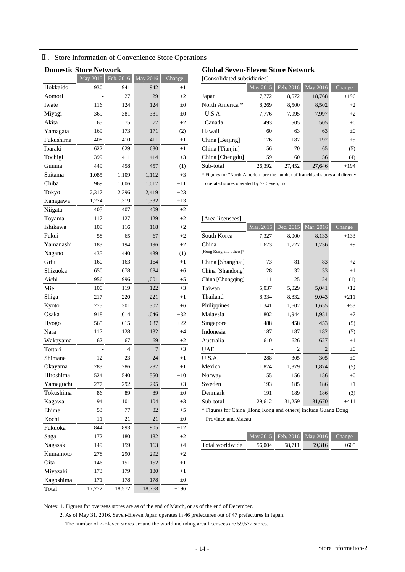Ⅱ.Store Information of Convenience Store Operations

| <b>DOMESUC STOPE NETWOFK</b> |          |             |                       |            | Global Seven            |
|------------------------------|----------|-------------|-----------------------|------------|-------------------------|
|                              | May 2015 | Feb. $2016$ | $\overline{May}$ 2016 | Change     | [Consolidated sul       |
| Hokkaido                     | 930      | 941         | 942                   | $+1$       |                         |
| Aomori                       |          | 27          | 29                    | $+2$       | Japan                   |
| Iwate                        | 116      | 124         | 124                   | $\pm 0$    | North America *         |
| Miyagi                       | 369      | 381         | 381                   | $\pm 0$    | U.S.A.                  |
| Akita                        | 65       | 75          | 77                    | $+2$       | Canada                  |
| Yamagata                     | 169      | 173         | 171                   | (2)        | Hawaii                  |
| Fukushima                    | 408      | 410         | 411                   | $+1$       | China [Beijing]         |
| <b>Ibaraki</b>               | 622      | 629         | 630                   | $+1$       | China [Tianjin]         |
| Tochigi                      | 399      | 411         | 414                   | $+3$       | China [Chengdu]         |
| Gunma                        | 449      | 458         | 457                   | (1)        | Sub-total               |
| Saitama                      | 1,085    | 1,109       | 1,112                 | $+3$       | * Figures for "North .  |
| Chiba                        | 969      | 1,006       | 1,017                 | $+11$      | operated stores oper    |
| Tokyo                        | 2,317    | 2,396       | 2,419                 | $+23$      |                         |
| Kanagawa                     | 1,274    | 1,319       | 1,332                 | $+13$      |                         |
| Niigata                      | 405      | 407         | 409                   | $+2$       |                         |
| Toyama                       | 117      | 127         | 129                   | $+2$       | [Area licensees]        |
| Ishikawa                     | 109      | 116         | 118                   | $+2$       |                         |
| Fukui                        | 58       | 65          | 67                    | $+2$       | South Korea             |
| Yamanashi                    | 183      | 194         | 196                   | $+2$       | China                   |
| Nagano                       | 435      | 440         | 439                   | (1)        | [Hong Kong and others]* |
| Gifu                         | 160      | 163         | 164                   | $+1$       | China [Shanghai]        |
| Shizuoka                     | 650      | 678         | 684                   | $+6$       | China [Shandong]        |
| Aichi                        | 956      | 996         | 1,001                 | $+5$       | China [Chongqing]       |
| Mie                          | 100      | 119         | 122                   | $+3$       | Taiwan                  |
| Shiga                        | 217      | 220         | 221                   | $+1$       | Thailand                |
| Kyoto                        | 275      | 301         | 307                   | $+6$       | Philippines             |
| Osaka                        | 918      | 1,014       | 1,046                 | $+32$      | Malaysia                |
| Hyogo                        | 565      | 615         | 637                   | $+22$      | Singapore               |
| Nara                         | 117      | 128         | 132                   | $+4$       | Indonesia               |
| Wakayama                     | 62       | 67          | 69                    | $+2$       | Australia               |
| Tottori                      |          | 4           | $\overline{7}$        | $+3$       | <b>UAE</b>              |
| Shimane                      | 12       | 23          | 24                    | $+1$       | U.S.A.                  |
| Okayama                      | 283      | 286         | 287                   | $^{+1}$    | Mexico                  |
| Hiroshima                    | 524      | 540         | 550                   | $+10$      | Norway                  |
| Yamaguchi                    | 277      | 292         | 295                   | $+3$       | Sweden                  |
| Tokushima                    | 86       | 89          | 89                    | $\pm 0$    | Denmark                 |
| Kagawa                       | 94       | 101         | 104                   | $+3$       | Sub-total               |
| Ehime                        | 53       | 77          | 82                    | $+5$       | * Figures for China     |
| Kochi                        | 11       | 21          | 21                    | $\pm 0$    | Province and Ma         |
| Fukuoka                      | 844      | 893         | 905                   | $+12$      |                         |
| Saga                         | 172      | 180         | 182                   | $+2$       |                         |
| Nagasaki                     | 149      | 159         | 163                   | $+4$       | Total worldwide         |
| Kumamoto                     | 278      | 290         | 292                   | $+2$       |                         |
| Oita                         | 146      | 151         | 152                   | $+1$       |                         |
| Miyazaki                     | 173      | 179         | 180                   | $+1$       |                         |
| Kagoshima                    | 171      | 178         | 178                   | $_{\pm 0}$ |                         |
| Total                        | 17,772   | 18,572      | 18,768                | $+196$     |                         |

# **Domestic Store Network Global Seven-Eleven Store Network**

[Consolidated subsidiaries]

| Hokkaido  | 930 | 941 | 942 | $+1$    |                 | May 2015 | Feb. 2016 | $\overline{\text{May } 2016}$ | Change  |
|-----------|-----|-----|-----|---------|-----------------|----------|-----------|-------------------------------|---------|
| Aomori    |     | 27  | 29  | $+2$    | Japan           | 17,772   | 18,572    | 18,768                        | $+196$  |
| Iwate     | 116 | 124 | 124 | $\pm 0$ | North America * | 8.269    | 8,500     | 8,502                         | $+2$    |
| Miyagi    | 369 | 381 | 381 | $\pm 0$ | U.S.A.          | 7,776    | 7,995     | 7,997                         | $+2$    |
| Akita     | 65  | 75  | 77  | $+2$    | Canada          | 493      | 505       | 505                           | $\pm 0$ |
| Yamagata  | 169 | 173 | 171 | (2)     | Hawaii          | 60       | 63        | 63                            | $\pm 0$ |
| Fukushima | 408 | 410 | 411 | $+1$    | China [Beijing] | 176      | 187       | 192                           | $+5$    |
| Ibaraki   | 622 | 629 | 630 | $+1$    | China [Tianjin] | 56       | 70        | 65                            | (5)     |
| Tochigi   | 399 | 411 | 414 | $+3$    | China [Chengdu] | 59       | 60        | 56                            | (4)     |
| Gunma     | 449 | 458 | 457 | (1)     | Sub-total       | 26.392   | 27.452    | 27.646                        | $+194$  |

\* Figures for "North America" are the number of franchised stores and directly operated stores operated by 7-Eleven, Inc.

#### [Area licensees]

| Ishikawa  | 109 | 116            | 118            | $+2$    |                         | Mar. 2015 | Dec. 2015      | Mar. 2016             | Change  |
|-----------|-----|----------------|----------------|---------|-------------------------|-----------|----------------|-----------------------|---------|
| Fukui     | 58  | 65             | 67             | $+2$    | South Korea             | 7,327     | 8,000          | 8,133                 | $+133$  |
| Yamanashi | 183 | 194            | 196            | $+2$    | China                   | 1,673     | 1,727          | 1,736                 | $+9$    |
| Nagano    | 435 | 440            | 439            | (1)     | [Hong Kong and others]* |           |                |                       |         |
| Gifu      | 160 | 163            | 164            | $+1$    | China [Shanghai]        | 73        | 81             | 83                    | $+2$    |
| Shizuoka  | 650 | 678            | 684            | $+6$    | China [Shandong]        | 28        | 32             | 33                    | $+1$    |
| Aichi     | 956 | 996            | 1,001          | $+5$    | China [Chongqing]       | 11        | 25             | 24                    | (1)     |
| Mie       | 100 | 119            | 122            | $+3$    | Taiwan                  | 5,037     | 5,029          | 5,041                 | $+12$   |
| Shiga     | 217 | 220            | 221            | $+1$    | Thailand                | 8,334     | 8,832          | 9,043                 | $+211$  |
| Kyoto     | 275 | 301            | 307            | $+6$    | Philippines             | 1,341     | 1,602          | 1,655                 | $+53$   |
| Osaka     | 918 | 1,014          | 1,046          | $+32$   | Malaysia                | 1,802     | 1,944          | 1,951                 | $+7$    |
| Hyogo     | 565 | 615            | 637            | $+22$   | Singapore               | 488       | 458            | 453                   | (5)     |
| Nara      | 117 | 128            | 132            | $+4$    | Indonesia               | 187       | 187            | 182                   | (5)     |
| Wakayama  | 62  | 67             | 69             | $+2$    | Australia               | 610       | 626            | 627                   | $+1$    |
| Tottori   |     | $\overline{4}$ | $\overline{7}$ | $+3$    | <b>UAE</b>              |           | $\overline{c}$ | $\mathcal{D}_{\cdot}$ | $\pm 0$ |
| Shimane   | 12  | 23             | 24             | $+1$    | U.S.A.                  | 288       | 305            | 305                   | $\pm 0$ |
| Okayama   | 283 | 286            | 287            | $+1$    | Mexico                  | 1,874     | 1,879          | 1,874                 | (5)     |
| Hiroshima | 524 | 540            | 550            | $+10$   | Norway                  | 155       | 156            | 156                   | $\pm 0$ |
| Yamaguchi | 277 | 292            | 295            | $+3$    | Sweden                  | 193       | 185            | 186                   | $+1$    |
| Tokushima | 86  | 89             | 89             | $\pm 0$ | Denmark                 | 191       | 189            | 186                   | (3)     |
| Kagawa    | 94  | 101            | 104            | $+3$    | Sub-total               | 29,612    | 31,259         | 31,670                | $+411$  |
|           |     |                |                |         |                         |           |                |                       |         |

\* Figures for China [Hong Kong and others] include Guang Dong Province and Macau.

| Saga     | 80 |     |                 |        |        | May 2015 Feb. 2016 May 2016 Change |        |
|----------|----|-----|-----------------|--------|--------|------------------------------------|--------|
| Nagasaki |    | 163 | Total worldwide | 56.004 | 58.711 | 59.316                             | $+605$ |

Notes: 1. Figures for overseas stores are as of the end of March, or as of the end of December.

2. As of May 31, 2016, Seven-Eleven Japan operates in 46 prefectures out of 47 prefectures in Japan.

The number of 7-Eleven stores around the world including area licensees are 59,572 stores.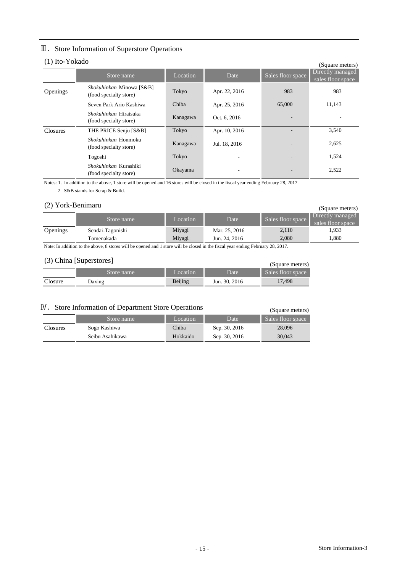# Ⅲ.Store Information of Superstore Operations

# (1) Ito-Yokado

|          | (1) IW-I UNAUU<br>(Square meters)                      |          |               |                          |                                       |  |  |  |  |  |  |  |
|----------|--------------------------------------------------------|----------|---------------|--------------------------|---------------------------------------|--|--|--|--|--|--|--|
|          | Store name                                             | Location | Date          | Sales floor space        | Directly managed<br>sales floor space |  |  |  |  |  |  |  |
| Openings | Shokuhinkan Minowa [S&B]<br>(food specialty store)     | Tokyo    | Apr. 22, 2016 | 983                      | 983                                   |  |  |  |  |  |  |  |
|          | Seven Park Ario Kashiwa                                | Chiba    | Apr. 25, 2016 | 65,000                   | 11,143                                |  |  |  |  |  |  |  |
|          | <i>Shokuhinkan</i> Hiratsuka<br>(food specialty store) | Kanagawa | Oct. 6, 2016  |                          |                                       |  |  |  |  |  |  |  |
| Closures | THE PRICE Senju [S&B]                                  | Tokyo    | Apr. 10, 2016 |                          | 3,540                                 |  |  |  |  |  |  |  |
|          | Shokuhinkan Honmoku<br>(food specialty store)          | Kanagawa | Jul. 18, 2016 | $\overline{\phantom{a}}$ | 2,625                                 |  |  |  |  |  |  |  |
|          | Togoshi                                                | Tokyo    |               | $\overline{\phantom{a}}$ | 1,524                                 |  |  |  |  |  |  |  |
|          | Shokuhinkan Kurashiki<br>(food specialty store)        | Okayama  |               |                          | 2,522                                 |  |  |  |  |  |  |  |

Notes: 1. In addition to the above, 1 store will be opened and 16 stores will be closed in the fiscal year ending February 28, 2017.

2. S&B stands for Scrap & Build.

# (2) York-Benimaru

| (2) York-Benimaru<br>(Square meters) |                                |                  |                                |                   |                                       |  |  |  |
|--------------------------------------|--------------------------------|------------------|--------------------------------|-------------------|---------------------------------------|--|--|--|
|                                      | Store name                     | Location         | Date                           | Sales floor space | Directly managed<br>sales floor space |  |  |  |
| Openings                             | Sendai-Tagonishi<br>Tomenakada | Miyagi<br>Miyagi | Mar. 25, 2016<br>Jun. 24, 2016 | 2,110<br>2.080    | 1,933<br>1.880                        |  |  |  |

Note: In addition to the above, 8 stores will be opened and 1 store will be closed in the fiscal year ending February 28, 2017.

# (3) China [Superstores]

|         | (Square meters) |          |               |                   |
|---------|-----------------|----------|---------------|-------------------|
|         | Store name      | Location | Date          | Sales floor space |
| Closure | Daxing          | Beijing  | Jun. 30, 2016 | 17.498            |

# Ⅳ.Store Information of Department Store Operations

| Store Information of Department Store Operations | (Square meters) |          |               |                   |
|--------------------------------------------------|-----------------|----------|---------------|-------------------|
|                                                  | Store name      | Location | Date          | Sales floor space |
| <b>Closures</b>                                  | Sogo Kashiwa    | Chiba    | Sep. 30, 2016 | 28,096            |
|                                                  | Seibu Asahikawa | Hokkaido | Sep. 30, 2016 | 30,043            |